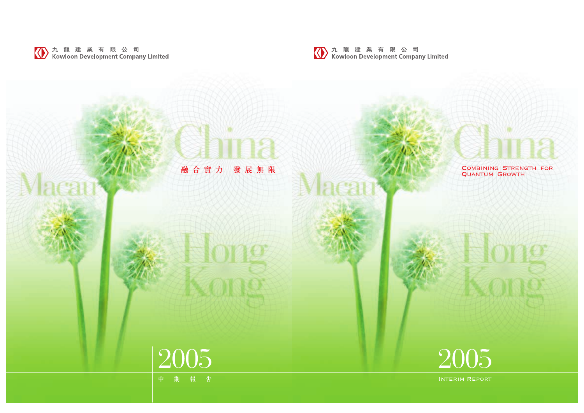

# COMBINING STRENGTH FOR<br>QUANTUM GROWTH

# 2005

INTERIM REPORT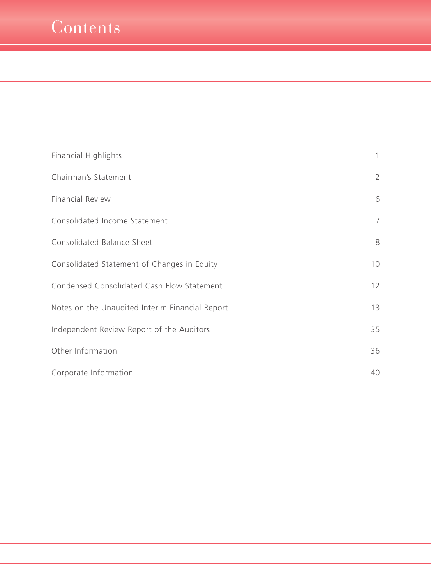| <b>Financial Highlights</b>                     | 1              |
|-------------------------------------------------|----------------|
| Chairman's Statement                            | $\overline{2}$ |
| <b>Financial Review</b>                         | 6              |
| Consolidated Income Statement                   | 7              |
| Consolidated Balance Sheet                      | 8              |
| Consolidated Statement of Changes in Equity     | 10             |
| Condensed Consolidated Cash Flow Statement      | 12             |
| Notes on the Unaudited Interim Financial Report | 13             |
| Independent Review Report of the Auditors       | 35             |
| Other Information                               | 36             |
| Corporate Information                           | 40             |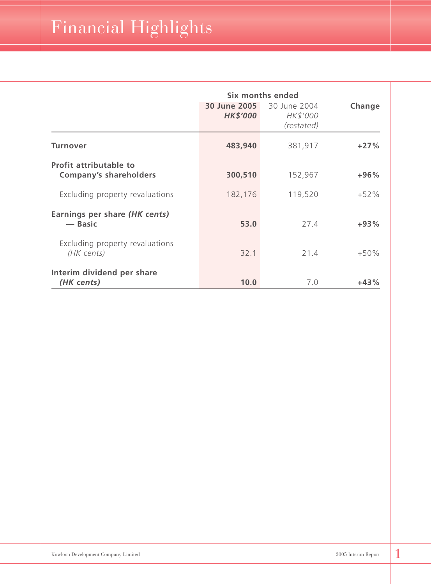|                                                         | Six months ended                       |                                        |        |
|---------------------------------------------------------|----------------------------------------|----------------------------------------|--------|
|                                                         | <b>30 June 2005</b><br><b>HK\$'000</b> | 30 June 2004<br>HK\$'000<br>(restated) | Change |
| <b>Turnover</b>                                         | 483,940                                | 381,917                                | $+27%$ |
| Profit attributable to<br><b>Company's shareholders</b> | 300,510                                | 152,967                                | $+96%$ |
| Excluding property revaluations                         | 182,176                                | 119,520                                | $+52%$ |
| Earnings per share (HK cents)<br>- Basic                | 53.0                                   | 27.4                                   | $+93%$ |
| Excluding property revaluations<br>(HK cents)           | 32.1                                   | 21.4                                   | $+50%$ |
| Interim dividend per share<br>(HK cents)                | 10.0                                   | 7.0                                    | $+43%$ |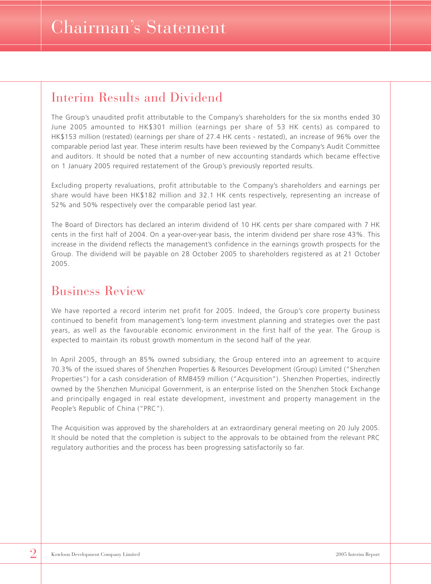### Interim Results and Dividend

The Group's unaudited profit attributable to the Company's shareholders for the six months ended 30 June 2005 amounted to HK\$301 million (earnings per share of 53 HK cents) as compared to HK\$153 million (restated) (earnings per share of 27.4 HK cents - restated), an increase of 96% over the comparable period last year. These interim results have been reviewed by the Company's Audit Committee and auditors. It should be noted that a number of new accounting standards which became effective on 1 January 2005 required restatement of the Group's previously reported results.

Excluding property revaluations, profit attributable to the Company's shareholders and earnings per share would have been HK\$182 million and 32.1 HK cents respectively, representing an increase of 52% and 50% respectively over the comparable period last year.

The Board of Directors has declared an interim dividend of 10 HK cents per share compared with 7 HK cents in the first half of 2004. On a year-over-year basis, the interim dividend per share rose 43%. This increase in the dividend reflects the management's confidence in the earnings growth prospects for the Group. The dividend will be payable on 28 October 2005 to shareholders registered as at 21 October 2005.

### Business Review

We have reported a record interim net profit for 2005. Indeed, the Group's core property business continued to benefit from management's long-term investment planning and strategies over the past years, as well as the favourable economic environment in the first half of the year. The Group is expected to maintain its robust growth momentum in the second half of the year.

In April 2005, through an 85% owned subsidiary, the Group entered into an agreement to acquire 70.3% of the issued shares of Shenzhen Properties & Resources Development (Group) Limited ("Shenzhen Properties") for a cash consideration of RMB459 million ("Acquisition"). Shenzhen Properties, indirectly owned by the Shenzhen Municipal Government, is an enterprise listed on the Shenzhen Stock Exchange and principally engaged in real estate development, investment and property management in the People's Republic of China ("PRC").

The Acquisition was approved by the shareholders at an extraordinary general meeting on 20 July 2005. It should be noted that the completion is subject to the approvals to be obtained from the relevant PRC regulatory authorities and the process has been progressing satisfactorily so far.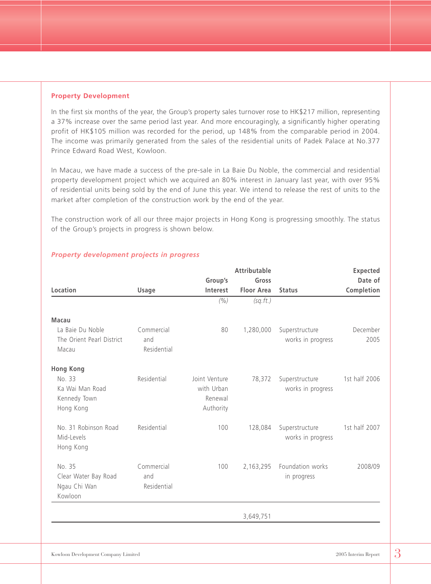#### **Property Development**

In the first six months of the year, the Group's property sales turnover rose to HK\$217 million, representing a 37% increase over the same period last year. And more encouragingly, a significantly higher operating profit of HK\$105 million was recorded for the period, up 148% from the comparable period in 2004. The income was primarily generated from the sales of the residential units of Padek Palace at No.377 Prince Edward Road West, Kowloon.

In Macau, we have made a success of the pre-sale in La Baie Du Noble, the commercial and residential property development project which we acquired an 80% interest in January last year, with over 95% of residential units being sold by the end of June this year. We intend to release the rest of units to the market after completion of the construction work by the end of the year.

The construction work of all our three major projects in Hong Kong is progressing smoothly. The status of the Group's projects in progress is shown below.

|                                                           |                                  |                                                     | <b>Attributable</b> |                                     | <b>Expected</b>  |
|-----------------------------------------------------------|----------------------------------|-----------------------------------------------------|---------------------|-------------------------------------|------------------|
|                                                           |                                  | Group's                                             | Gross               |                                     | Date of          |
| Location                                                  | Usage                            | Interest                                            | <b>Floor Area</b>   | <b>Status</b>                       | Completion       |
|                                                           |                                  | (% )                                                | (sq.fit.)           |                                     |                  |
| <b>Macau</b>                                              |                                  |                                                     |                     |                                     |                  |
| La Baie Du Noble<br>The Orient Pearl District<br>Macau    | Commercial<br>and<br>Residential | 80                                                  | 1,280,000           | Superstructure<br>works in progress | December<br>2005 |
| <b>Hong Kong</b>                                          |                                  |                                                     |                     |                                     |                  |
| No. 33<br>Ka Wai Man Road<br>Kennedy Town<br>Hong Kong    | Residential                      | Joint Venture<br>with Urban<br>Renewal<br>Authority | 78,372              | Superstructure<br>works in progress | 1st half 2006    |
| No. 31 Robinson Road<br>Mid-Levels<br>Hong Kong           | Residential                      | 100                                                 | 128,084             | Superstructure<br>works in progress | 1st half 2007    |
| No. 35<br>Clear Water Bay Road<br>Ngau Chi Wan<br>Kowloon | Commercial<br>and<br>Residential | 100                                                 | 2,163,295           | Foundation works<br>in progress     | 2008/09          |
|                                                           |                                  |                                                     | 3,649,751           |                                     |                  |

#### *Property development projects in progress*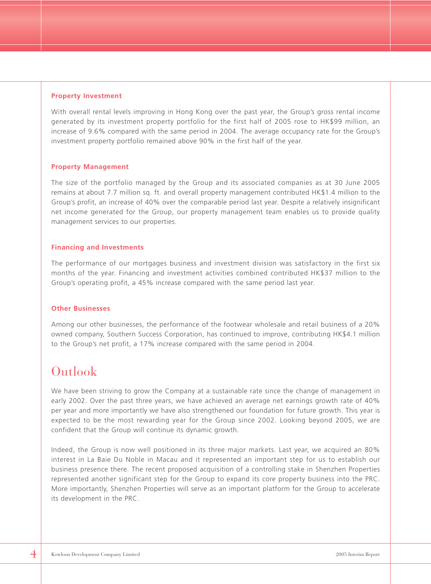#### **Property Investment**

With overall rental levels improving in Hong Kong over the past year, the Group's gross rental income generated by its investment property portfolio for the first half of 2005 rose to HK\$99 million, an increase of 9.6% compared with the same period in 2004. The average occupancy rate for the Group's investment property portfolio remained above 90% in the first half of the year.

#### **Property Management**

The size of the portfolio managed by the Group and its associated companies as at 30 June 2005 remains at about 7.7 million sq. ft. and overall property management contributed HK\$1.4 million to the Group's profit, an increase of 40% over the comparable period last year. Despite a relatively insignificant net income generated for the Group, our property management team enables us to provide quality management services to our properties.

#### **Financing and Investments**

The performance of our mortgages business and investment division was satisfactory in the first six months of the year. Financing and investment activities combined contributed HK\$37 million to the Group's operating profit, a 45% increase compared with the same period last year.

#### **Other Businesses**

Among our other businesses, the performance of the footwear wholesale and retail business of a 20% owned company, Southern Success Corporation, has continued to improve, contributing HK\$4.1 million to the Group's net profit, a 17% increase compared with the same period in 2004.

### Outlook

We have been striving to grow the Company at a sustainable rate since the change of management in early 2002. Over the past three years, we have achieved an average net earnings growth rate of 40% per year and more importantly we have also strengthened our foundation for future growth. This year is expected to be the most rewarding year for the Group since 2002. Looking beyond 2005, we are confident that the Group will continue its dynamic growth.

Indeed, the Group is now well positioned in its three major markets. Last year, we acquired an 80% interest in La Baie Du Noble in Macau and it represented an important step for us to establish our business presence there. The recent proposed acquisition of a controlling stake in Shenzhen Properties represented another significant step for the Group to expand its core property business into the PRC. More importantly, Shenzhen Properties will serve as an important platform for the Group to accelerate its development in the PRC.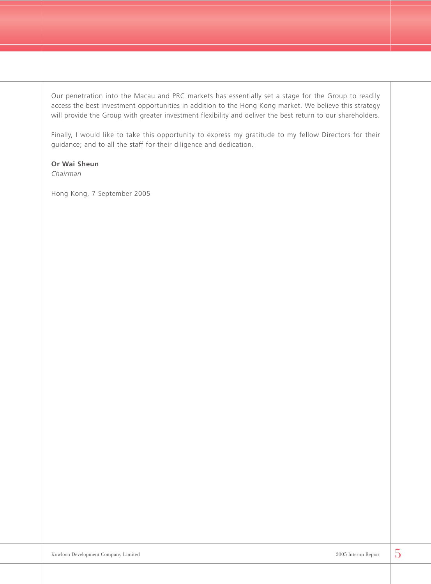Our penetration into the Macau and PRC markets has essentially set a stage for the Group to readily access the best investment opportunities in addition to the Hong Kong market. We believe this strategy will provide the Group with greater investment flexibility and deliver the best return to our shareholders.

Finally, I would like to take this opportunity to express my gratitude to my fellow Directors for their guidance; and to all the staff for their diligence and dedication.

#### **Or Wai Sheun**

*Chairman*

Hong Kong, 7 September 2005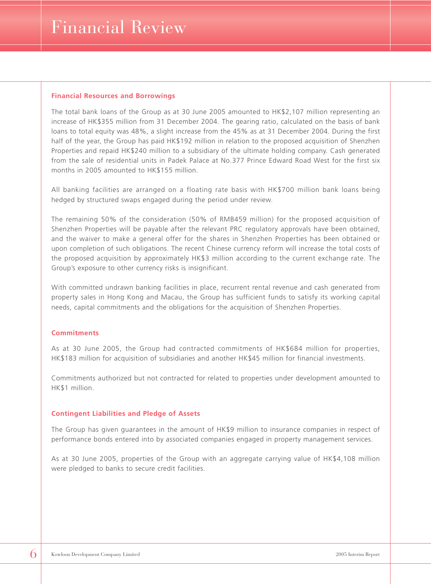#### **Financial Resources and Borrowings**

The total bank loans of the Group as at 30 June 2005 amounted to HK\$2,107 million representing an increase of HK\$355 million from 31 December 2004. The gearing ratio, calculated on the basis of bank loans to total equity was 48%, a slight increase from the 45% as at 31 December 2004. During the first half of the year, the Group has paid HK\$192 million in relation to the proposed acquisition of Shenzhen Properties and repaid HK\$240 million to a subsidiary of the ultimate holding company. Cash generated from the sale of residential units in Padek Palace at No.377 Prince Edward Road West for the first six months in 2005 amounted to HK\$155 million.

All banking facilities are arranged on a floating rate basis with HK\$700 million bank loans being hedged by structured swaps engaged during the period under review.

The remaining 50% of the consideration (50% of RMB459 million) for the proposed acquisition of Shenzhen Properties will be payable after the relevant PRC regulatory approvals have been obtained, and the waiver to make a general offer for the shares in Shenzhen Properties has been obtained or upon completion of such obligations. The recent Chinese currency reform will increase the total costs of the proposed acquisition by approximately HK\$3 million according to the current exchange rate. The Group's exposure to other currency risks is insignificant.

With committed undrawn banking facilities in place, recurrent rental revenue and cash generated from property sales in Hong Kong and Macau, the Group has sufficient funds to satisfy its working capital needs, capital commitments and the obligations for the acquisition of Shenzhen Properties.

#### **Commitments**

As at 30 June 2005, the Group had contracted commitments of HK\$684 million for properties, HK\$183 million for acquisition of subsidiaries and another HK\$45 million for financial investments.

Commitments authorized but not contracted for related to properties under development amounted to HK\$1 million.

#### **Contingent Liabilities and Pledge of Assets**

The Group has given guarantees in the amount of HK\$9 million to insurance companies in respect of performance bonds entered into by associated companies engaged in property management services.

As at 30 June 2005, properties of the Group with an aggregate carrying value of HK\$4,108 million were pledged to banks to secure credit facilities.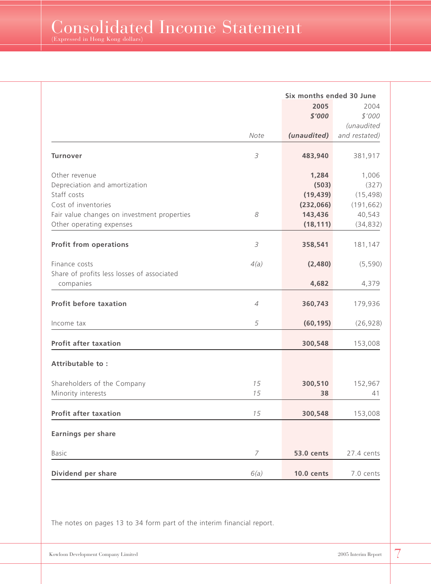$\rm{{Consolidated Income Statement}}$ 

|                                             | Six months ended 30 June |                   |                |
|---------------------------------------------|--------------------------|-------------------|----------------|
|                                             |                          | 2005<br>\$'000    | 2004<br>\$'000 |
|                                             |                          |                   | (unaudited     |
|                                             | Note                     | (unaudited)       | and restated)  |
| <b>Turnover</b>                             | $\mathcal S$             | 483,940           | 381,917        |
| Other revenue                               |                          | 1,284             | 1,006          |
| Depreciation and amortization               |                          | (503)             | (327)          |
| Staff costs                                 |                          | (19, 439)         | (15, 498)      |
| Cost of inventories                         |                          | (232,066)         | (191, 662)     |
| Fair value changes on investment properties | 8                        | 143,436           | 40,543         |
| Other operating expenses                    |                          | (18, 111)         | (34, 832)      |
| <b>Profit from operations</b>               | $\mathcal S$             | 358,541           | 181,147        |
| Finance costs                               | 4(a)                     | (2,480)           | (5,590)        |
| Share of profits less losses of associated  |                          |                   |                |
| companies                                   |                          | 4,682             | 4,379          |
| <b>Profit before taxation</b>               | $\overline{4}$           | 360,743           | 179,936        |
| Income tax                                  | 5                        | (60, 195)         | (26, 928)      |
| <b>Profit after taxation</b>                |                          | 300,548           | 153,008        |
| Attributable to:                            |                          |                   |                |
| Shareholders of the Company                 | 15                       | 300,510           | 152,967        |
| Minority interests                          | 15                       | 38                | 41             |
| <b>Profit after taxation</b>                | 15                       | 300,548           | 153,008        |
| Earnings per share                          |                          |                   |                |
| <b>Basic</b>                                | 7                        | <b>53.0 cents</b> | 27.4 cents     |
| Dividend per share                          | 6(a)                     | <b>10.0 cents</b> | 7.0 cents      |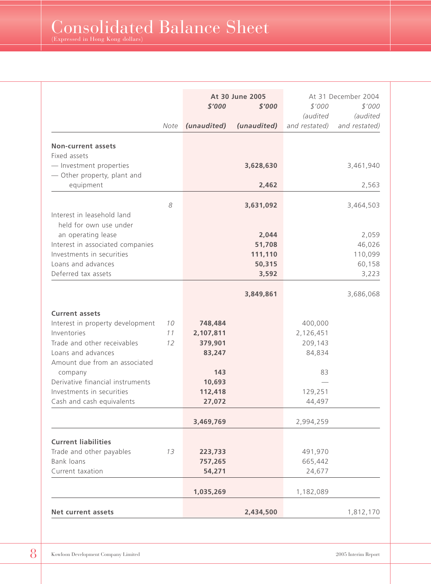|                                                               |      | At 30 June 2005<br>\$'000<br>\$'000 |                 | \$'000<br><i>(audited</i> | At 31 December 2004<br>\$'000<br><i>(audited</i> |
|---------------------------------------------------------------|------|-------------------------------------|-----------------|---------------------------|--------------------------------------------------|
|                                                               | Note | (unaudited)                         | (unaudited)     | and restated)             | and restated)                                    |
| <b>Non-current assets</b>                                     |      |                                     |                 |                           |                                                  |
| Fixed assets                                                  |      |                                     |                 |                           |                                                  |
| - Investment properties                                       |      |                                     | 3,628,630       |                           | 3,461,940                                        |
| - Other property, plant and                                   |      |                                     |                 |                           |                                                  |
| equipment                                                     |      |                                     | 2,462           |                           | 2,563                                            |
|                                                               | 8    |                                     | 3,631,092       |                           | 3,464,503                                        |
| Interest in leasehold land                                    |      |                                     |                 |                           |                                                  |
| held for own use under                                        |      |                                     |                 |                           |                                                  |
| an operating lease                                            |      |                                     | 2,044<br>51,708 |                           | 2,059                                            |
| Interest in associated companies<br>Investments in securities |      |                                     | 111,110         |                           | 46,026<br>110,099                                |
| Loans and advances                                            |      |                                     | 50,315          |                           | 60,158                                           |
| Deferred tax assets                                           |      |                                     | 3,592           |                           | 3,223                                            |
|                                                               |      |                                     | 3,849,861       |                           | 3,686,068                                        |
| <b>Current assets</b>                                         |      |                                     |                 |                           |                                                  |
| Interest in property development                              | 10   | 748,484                             |                 | 400,000                   |                                                  |
| Inventories                                                   | 11   | 2,107,811                           |                 | 2,126,451                 |                                                  |
| Trade and other receivables                                   | 12   | 379,901                             |                 | 209,143                   |                                                  |
| Loans and advances                                            |      | 83,247                              |                 | 84,834                    |                                                  |
| Amount due from an associated                                 |      |                                     |                 |                           |                                                  |
| company                                                       |      | 143                                 |                 | 83                        |                                                  |
| Derivative financial instruments                              |      | 10,693                              |                 |                           |                                                  |
| Investments in securities                                     |      | 112,418                             |                 | 129,251                   |                                                  |
| Cash and cash equivalents                                     |      | 27,072                              |                 | 44,497                    |                                                  |
|                                                               |      | 3,469,769                           |                 | 2,994,259                 |                                                  |
| <b>Current liabilities</b>                                    |      |                                     |                 |                           |                                                  |
| Trade and other payables                                      | 13   | 223,733                             |                 | 491,970                   |                                                  |
| Bank loans                                                    |      | 757,265                             |                 | 665,442                   |                                                  |
| Current taxation                                              |      | 54,271                              |                 | 24,677                    |                                                  |
|                                                               |      | 1,035,269                           |                 | 1,182,089                 |                                                  |
| Net current assets                                            |      |                                     | 2,434,500       |                           | 1,812,170                                        |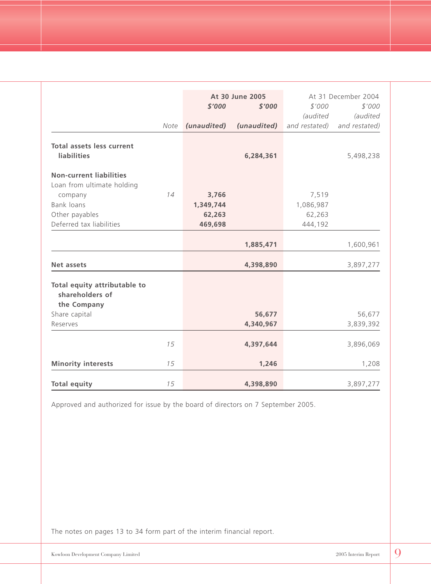|                                  |      |             | At 30 June 2005 |                 | At 31 December 2004 |
|----------------------------------|------|-------------|-----------------|-----------------|---------------------|
|                                  |      | \$'000      | \$'000          | \$'000          | \$'000              |
|                                  |      |             |                 | <i>(audited</i> | (audited            |
|                                  | Note | (unaudited) | (unaudited)     | and restated)   | and restated)       |
| <b>Total assets less current</b> |      |             |                 |                 |                     |
| <b>liabilities</b>               |      |             | 6,284,361       |                 | 5,498,238           |
| <b>Non-current liabilities</b>   |      |             |                 |                 |                     |
| Loan from ultimate holding       |      |             |                 |                 |                     |
| company                          | 14   | 3,766       |                 | 7,519           |                     |
| Bank loans                       |      | 1,349,744   |                 | 1,086,987       |                     |
| Other payables                   |      | 62,263      |                 | 62,263          |                     |
| Deferred tax liabilities         |      | 469,698     |                 | 444,192         |                     |
|                                  |      |             | 1,885,471       |                 | 1,600,961           |
| Net assets                       |      |             | 4,398,890       |                 | 3,897,277           |
| Total equity attributable to     |      |             |                 |                 |                     |
| shareholders of                  |      |             |                 |                 |                     |
| the Company                      |      |             |                 |                 |                     |
| Share capital                    |      |             | 56,677          |                 | 56,677              |
| Reserves                         |      |             | 4,340,967       |                 | 3,839,392           |
|                                  | 15   |             | 4,397,644       |                 | 3,896,069           |
| <b>Minority interests</b>        | 15   |             | 1,246           |                 | 1,208               |
| <b>Total equity</b>              | 15   |             | 4,398,890       |                 | 3,897,277           |

Approved and authorized for issue by the board of directors on 7 September 2005.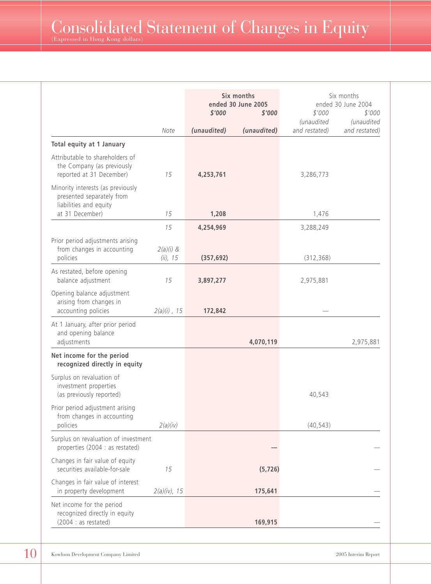|                                                                                           |                         | Six months<br>ended 30 June 2005<br>\$'000<br>\$'000 |             | \$'000<br>(unaudited | Six months<br>ended 30 June 2004<br>\$'000<br>(unaudited |
|-------------------------------------------------------------------------------------------|-------------------------|------------------------------------------------------|-------------|----------------------|----------------------------------------------------------|
|                                                                                           | Note                    | (unaudited)                                          | (unaudited) | and restated)        | and restated)                                            |
| Total equity at 1 January                                                                 |                         |                                                      |             |                      |                                                          |
| Attributable to shareholders of<br>the Company (as previously<br>reported at 31 December) | 15                      | 4,253,761                                            |             | 3,286,773            |                                                          |
| Minority interests (as previously<br>presented separately from<br>liabilities and equity  |                         |                                                      |             |                      |                                                          |
| at 31 December)                                                                           | 15                      | 1,208                                                |             | 1,476                |                                                          |
|                                                                                           | 15                      | 4,254,969                                            |             | 3,288,249            |                                                          |
| Prior period adjustments arising<br>from changes in accounting<br>policies                | $2(a)(i)$ &<br>(ii), 15 | (357, 692)                                           |             | (312, 368)           |                                                          |
| As restated, before opening<br>balance adjustment                                         | 15                      | 3,897,277                                            |             | 2,975,881            |                                                          |
| Opening balance adjustment<br>arising from changes in<br>accounting policies              | $2(a)(i)$ , 15          | 172,842                                              |             |                      |                                                          |
| At 1 January, after prior period<br>and opening balance<br>adjustments                    |                         |                                                      | 4,070,119   |                      | 2,975,881                                                |
| Net income for the period<br>recognized directly in equity                                |                         |                                                      |             |                      |                                                          |
| Surplus on revaluation of<br>investment properties<br>(as previously reported)            |                         |                                                      |             | 40,543               |                                                          |
| Prior period adjustment arising<br>from changes in accounting<br>policies                 | 2(a)(iv)                |                                                      |             | (40, 543)            |                                                          |
| Surplus on revaluation of investment<br>properties (2004 : as restated)                   |                         |                                                      |             |                      |                                                          |
| Changes in fair value of equity<br>securities available-for-sale                          | 15                      |                                                      | (5, 726)    |                      |                                                          |
| Changes in fair value of interest<br>in property development                              | $2(a)(iv)$ , 15         |                                                      | 175,641     |                      |                                                          |
| Net income for the period<br>recognized directly in equity<br>(2004 : as restated)        |                         |                                                      | 169,915     |                      |                                                          |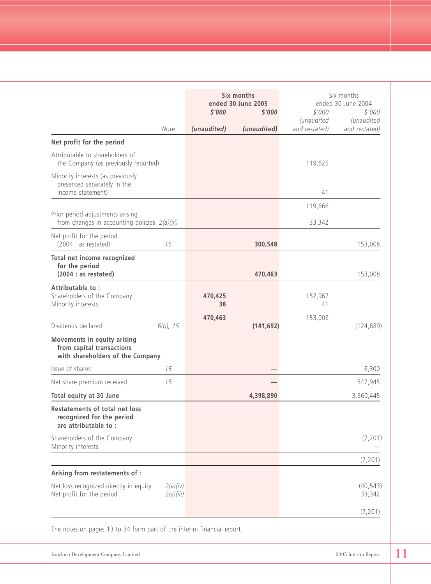|                                                                                                     |               | Six months<br>ended 30 June 2005 |                      | Six months<br>ended 30 June 2004 |
|-----------------------------------------------------------------------------------------------------|---------------|----------------------------------|----------------------|----------------------------------|
|                                                                                                     | \$'000        | \$'000                           | \$'000<br>(unaudited | \$'000<br>(unaudited             |
| Note                                                                                                | (unaudited)   | (unaudited)                      | and restated)        | and restated)                    |
| Net profit for the period                                                                           |               |                                  |                      |                                  |
| Attributable to shareholders of<br>the Company (as previously reported)                             |               |                                  | 119,625              |                                  |
| Minority interests (as previously<br>presented separately in the<br>income statement)               |               |                                  | 41                   |                                  |
|                                                                                                     |               |                                  | 119,666              |                                  |
| Prior period adjustments arising<br>from changes in accounting policies 2(a)(iii)                   |               |                                  | 33,342               |                                  |
| Net profit for the period<br>(2004 : as restated)<br>15                                             |               | 300,548                          |                      | 153,008                          |
| Total net income recognized<br>for the period<br>(2004 : as restated)                               |               | 470,463                          |                      | 153,008                          |
| Attributable to:<br>Shareholders of the Company<br>Minority interests                               | 470,425<br>38 |                                  | 152,967<br>41        |                                  |
|                                                                                                     | 470,463       |                                  | 153,008              |                                  |
| Dividends declared<br>$6(b)$ , 15                                                                   |               | (141, 692)                       |                      | (124, 689)                       |
| <b>Movements in equity arising</b><br>from capital transactions<br>with shareholders of the Company |               |                                  |                      |                                  |
| Issue of shares<br>15                                                                               |               |                                  |                      | 8,300                            |
| Net share premium received<br>15                                                                    |               |                                  |                      | 547,945                          |
| Total equity at 30 June                                                                             |               | 4,398,890                        |                      | 3,560,445                        |
| <b>Restatements of total net loss</b><br>recognized for the period<br>are attributable to:          |               |                                  |                      |                                  |
| Shareholders of the Company<br>Minority interests                                                   |               |                                  |                      | (7, 201)                         |
|                                                                                                     |               |                                  |                      | (7, 201)                         |
| Arising from restatements of :                                                                      |               |                                  |                      |                                  |
| Net loss recognized directly in equity<br>2(a)(iv)<br>Net profit for the period<br>2(a)(iii)        |               |                                  |                      | (40, 543)<br>33,342              |
|                                                                                                     |               |                                  |                      | (7, 201)                         |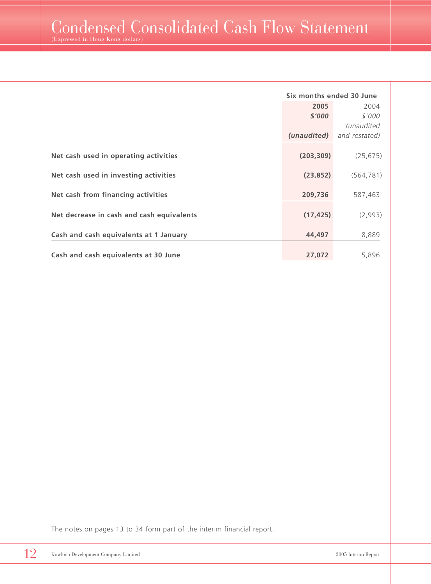|                                           | Six months ended 30 June |                   |
|-------------------------------------------|--------------------------|-------------------|
|                                           | 2005                     | 2004              |
|                                           | \$'000                   | \$'000            |
|                                           |                          | <i>(unaudited</i> |
|                                           | (unaudited)              | and restated)     |
| Net cash used in operating activities     | (203, 309)               | (25, 675)         |
| Net cash used in investing activities     | (23, 852)                | (564, 781)        |
| Net cash from financing activities        | 209,736                  | 587,463           |
| Net decrease in cash and cash equivalents | (17, 425)                | (2,993)           |
| Cash and cash equivalents at 1 January    | 44,497                   | 8,889             |
| Cash and cash equivalents at 30 June      | 27,072                   | 5,896             |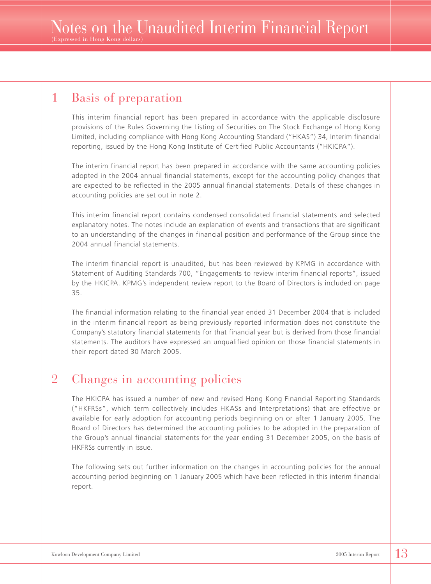### 1 Basis of preparation

This interim financial report has been prepared in accordance with the applicable disclosure provisions of the Rules Governing the Listing of Securities on The Stock Exchange of Hong Kong Limited, including compliance with Hong Kong Accounting Standard ("HKAS") 34, Interim financial reporting, issued by the Hong Kong Institute of Certified Public Accountants ("HKICPA").

The interim financial report has been prepared in accordance with the same accounting policies adopted in the 2004 annual financial statements, except for the accounting policy changes that are expected to be reflected in the 2005 annual financial statements. Details of these changes in accounting policies are set out in note 2.

This interim financial report contains condensed consolidated financial statements and selected explanatory notes. The notes include an explanation of events and transactions that are significant to an understanding of the changes in financial position and performance of the Group since the 2004 annual financial statements.

The interim financial report is unaudited, but has been reviewed by KPMG in accordance with Statement of Auditing Standards 700, "Engagements to review interim financial reports", issued by the HKICPA. KPMG's independent review report to the Board of Directors is included on page 35.

The financial information relating to the financial year ended 31 December 2004 that is included in the interim financial report as being previously reported information does not constitute the Company's statutory financial statements for that financial year but is derived from those financial statements. The auditors have expressed an unqualified opinion on those financial statements in their report dated 30 March 2005.

### 2 Changes in accounting policies

The HKICPA has issued a number of new and revised Hong Kong Financial Reporting Standards ("HKFRSs", which term collectively includes HKASs and Interpretations) that are effective or available for early adoption for accounting periods beginning on or after 1 January 2005. The Board of Directors has determined the accounting policies to be adopted in the preparation of the Group's annual financial statements for the year ending 31 December 2005, on the basis of HKFRSs currently in issue.

The following sets out further information on the changes in accounting policies for the annual accounting period beginning on 1 January 2005 which have been reflected in this interim financial report.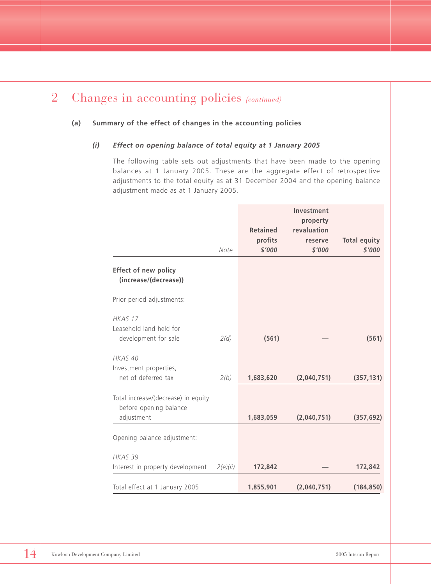#### **(a) Summary of the effect of changes in the accounting policies**

#### *(i) Effect on opening balance of total equity at 1 January 2005*

The following table sets out adjustments that have been made to the opening balances at 1 January 2005. These are the aggregate effect of retrospective adjustments to the total equity as at 31 December 2004 and the opening balance adjustment made as at 1 January 2005.

|                                                      |          |                   | Investment  |                               |
|------------------------------------------------------|----------|-------------------|-------------|-------------------------------|
|                                                      |          |                   | property    |                               |
|                                                      |          | <b>Retained</b>   | revaluation |                               |
|                                                      | Note     | profits<br>\$'000 | reserve     | <b>Total equity</b><br>\$'000 |
|                                                      |          |                   | \$'000      |                               |
| <b>Effect of new policy</b><br>(increase/(decrease)) |          |                   |             |                               |
| Prior period adjustments:                            |          |                   |             |                               |
| HKAS 17                                              |          |                   |             |                               |
| Leasehold land held for                              |          |                   |             |                               |
| development for sale                                 | 2(d)     | (561)             |             | (561)                         |
| HKAS 40                                              |          |                   |             |                               |
| Investment properties,                               |          |                   |             |                               |
| net of deferred tax                                  | 2(b)     | 1,683,620         | (2,040,751) | (357, 131)                    |
| Total increase/(decrease) in equity                  |          |                   |             |                               |
| before opening balance                               |          |                   |             |                               |
| adjustment                                           |          | 1,683,059         | (2,040,751) | (357, 692)                    |
|                                                      |          |                   |             |                               |
| Opening balance adjustment:                          |          |                   |             |                               |
| HKAS <sub>39</sub>                                   |          |                   |             |                               |
| Interest in property development                     | 2(e)(ii) | 172,842           |             | 172,842                       |
| Total effect at 1 January 2005                       |          | 1,855,901         | (2,040,751) | (184, 850)                    |
|                                                      |          |                   |             |                               |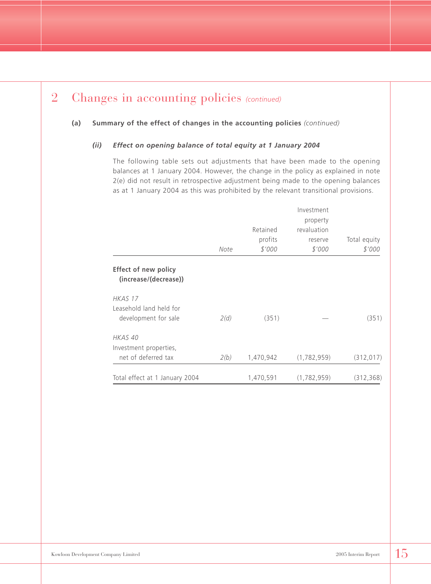#### **(a) Summary of the effect of changes in the accounting policies** *(continued)*

#### *(ii) Effect on opening balance of total equity at 1 January 2004*

The following table sets out adjustments that have been made to the opening balances at 1 January 2004. However, the change in the policy as explained in note 2(e) did not result in retrospective adjustment being made to the opening balances as at 1 January 2004 as this was prohibited by the relevant transitional provisions.

|                                                      | Note | Retained<br>profits<br>\$'000 | Investment<br>property<br>revaluation<br>reserve<br>\$'000 | Total equity<br>\$'000 |
|------------------------------------------------------|------|-------------------------------|------------------------------------------------------------|------------------------|
| <b>Effect of new policy</b><br>(increase/(decrease)) |      |                               |                                                            |                        |
| HKAS 17                                              |      |                               |                                                            |                        |
| Leasehold land held for                              |      |                               |                                                            |                        |
| development for sale                                 | 2(d) | (351)                         |                                                            | (351)                  |
| HKAS 40                                              |      |                               |                                                            |                        |
| Investment properties,                               |      |                               |                                                            |                        |
| net of deferred tax                                  | 2(b) | 1,470,942                     | (1,782,959)                                                | (312, 017)             |
| Total effect at 1 January 2004                       |      | 1,470,591                     | (1,782,959)                                                | (312, 368)             |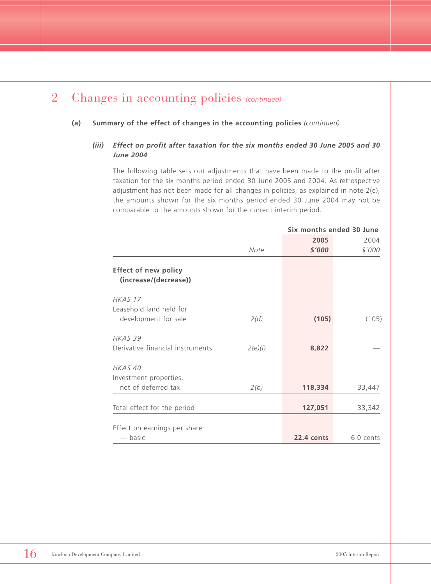#### **(a) Summary of the effect of changes in the accounting policies** *(continued)*

#### *(iii) Effect on profit after taxation for the six months ended 30 June 2005 and 30 June 2004*

The following table sets out adjustments that have been made to the profit after taxation for the six months period ended 30 June 2005 and 2004. As retrospective adjustment has not been made for all changes in policies, as explained in note 2(e), the amounts shown for the six months period ended 30 June 2004 may not be comparable to the amounts shown for the current interim period.

|                                                      |         |            | Six months ended 30 June |
|------------------------------------------------------|---------|------------|--------------------------|
|                                                      |         | 2005       | 2004                     |
|                                                      | Note    | \$'000     | \$'000                   |
| <b>Effect of new policy</b><br>(increase/(decrease)) |         |            |                          |
| HKAS 17                                              |         |            |                          |
| Leasehold land held for                              |         |            |                          |
| development for sale                                 | 2(d)    | (105)      | (105)                    |
| HKAS 39                                              |         |            |                          |
| Derivative financial instruments                     | 2(e)(i) | 8,822      |                          |
| HKAS 40                                              |         |            |                          |
| Investment properties,                               |         |            |                          |
| net of deferred tax                                  | 2(b)    | 118,334    | 33,447                   |
| Total effect for the period                          |         | 127,051    | 33,342                   |
|                                                      |         |            |                          |
| Effect on earnings per share                         |         |            |                          |
| — basic                                              |         | 22.4 cents | 6.0 cents                |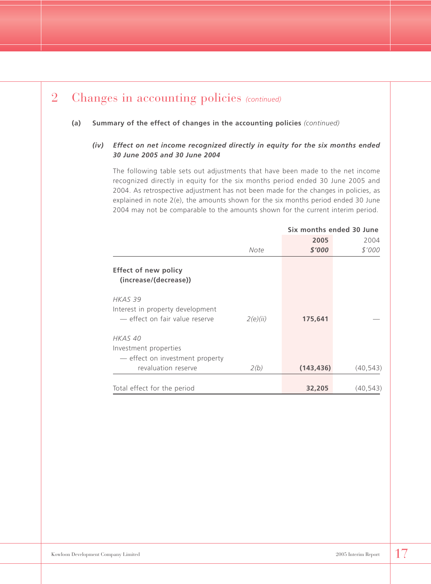#### **(a) Summary of the effect of changes in the accounting policies** *(continued)*

#### *(iv) Effect on net income recognized directly in equity for the six months ended 30 June 2005 and 30 June 2004*

The following table sets out adjustments that have been made to the net income recognized directly in equity for the six months period ended 30 June 2005 and 2004. As retrospective adjustment has not been made for the changes in policies, as explained in note 2(e), the amounts shown for the six months period ended 30 June 2004 may not be comparable to the amounts shown for the current interim period.

|                                                      |          | Six months ended 30 June |           |  |
|------------------------------------------------------|----------|--------------------------|-----------|--|
|                                                      |          | 2005                     | 2004      |  |
|                                                      | Note     | \$'000                   | \$'000    |  |
| <b>Effect of new policy</b><br>(increase/(decrease)) |          |                          |           |  |
| HKAS 39                                              |          |                          |           |  |
| Interest in property development                     |          |                          |           |  |
| - effect on fair value reserve                       | 2(e)(ii) | 175,641                  |           |  |
| HKAS 40                                              |          |                          |           |  |
| Investment properties                                |          |                          |           |  |
| - effect on investment property                      |          |                          |           |  |
| revaluation reserve                                  | 2(b)     | (143, 436)               | (40, 543) |  |
|                                                      |          |                          |           |  |
| Total effect for the period                          |          | 32,205                   | (40, 543) |  |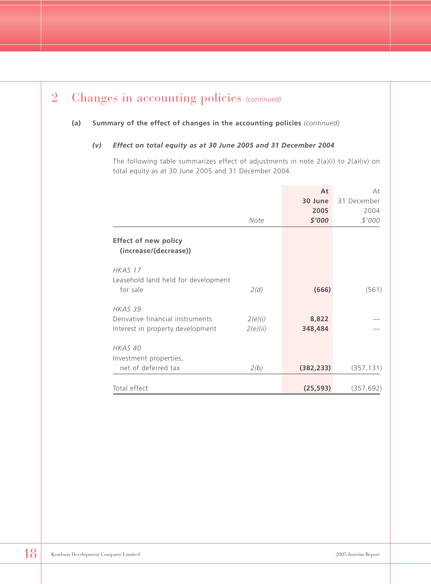#### **(a) Summary of the effect of changes in the accounting policies** *(continued)*

#### *(v) Effect on total equity as at 30 June 2005 and 31 December 2004*

The following table summarizes effect of adjustments in note 2(a)(i) to 2(a)(iv) on total equity as at 30 June 2005 and 31 December 2004.

|                                                                                            | Note                | At<br>30 June<br>2005<br>\$'000 | At<br>31 December<br>2004<br>\$'000 |
|--------------------------------------------------------------------------------------------|---------------------|---------------------------------|-------------------------------------|
| <b>Effect of new policy</b><br>(increase/(decrease))                                       |                     |                                 |                                     |
| HKAS 17<br>Leasehold land held for development<br>for sale                                 | 2(d)                | (666)                           | (561)                               |
| HKAS <sub>39</sub><br>Derivative financial instruments<br>Interest in property development | 2(e)(i)<br>2(e)(ii) | 8,822<br>348,484                |                                     |
| HKAS 40<br>Investment properties,<br>net of deferred tax                                   | 2(b)                | (382, 233)                      | (357, 131)                          |
| Total effect                                                                               |                     | (25, 593)                       | (357, 692)                          |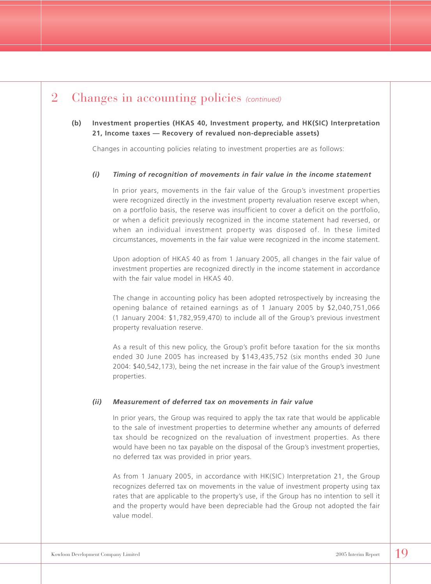#### **(b) Investment properties (HKAS 40, Investment property, and HK(SIC) Interpretation 21, Income taxes — Recovery of revalued non-depreciable assets)**

Changes in accounting policies relating to investment properties are as follows:

#### *(i) Timing of recognition of movements in fair value in the income statement*

In prior years, movements in the fair value of the Group's investment properties were recognized directly in the investment property revaluation reserve except when, on a portfolio basis, the reserve was insufficient to cover a deficit on the portfolio, or when a deficit previously recognized in the income statement had reversed, or when an individual investment property was disposed of. In these limited circumstances, movements in the fair value were recognized in the income statement.

Upon adoption of HKAS 40 as from 1 January 2005, all changes in the fair value of investment properties are recognized directly in the income statement in accordance with the fair value model in HKAS 40.

The change in accounting policy has been adopted retrospectively by increasing the opening balance of retained earnings as of 1 January 2005 by \$2,040,751,066 (1 January 2004: \$1,782,959,470) to include all of the Group's previous investment property revaluation reserve.

As a result of this new policy, the Group's profit before taxation for the six months ended 30 June 2005 has increased by \$143,435,752 (six months ended 30 June 2004: \$40,542,173), being the net increase in the fair value of the Group's investment properties.

#### *(ii) Measurement of deferred tax on movements in fair value*

In prior years, the Group was required to apply the tax rate that would be applicable to the sale of investment properties to determine whether any amounts of deferred tax should be recognized on the revaluation of investment properties. As there would have been no tax payable on the disposal of the Group's investment properties, no deferred tax was provided in prior years.

As from 1 January 2005, in accordance with HK(SIC) Interpretation 21, the Group recognizes deferred tax on movements in the value of investment property using tax rates that are applicable to the property's use, if the Group has no intention to sell it and the property would have been depreciable had the Group not adopted the fair value model.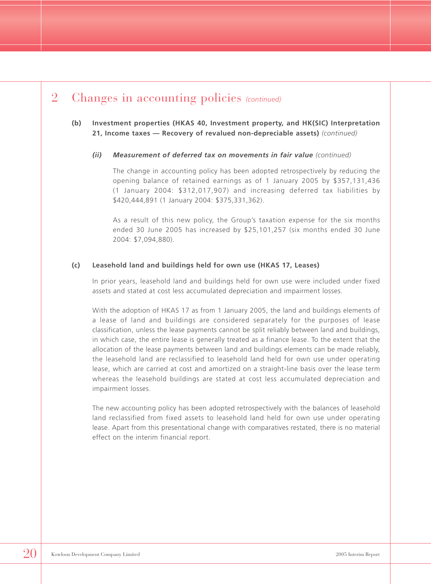#### **(b) Investment properties (HKAS 40, Investment property, and HK(SIC) Interpretation 21, Income taxes — Recovery of revalued non-depreciable assets)** *(continued)*

#### *(ii) Measurement of deferred tax on movements in fair value (continued)*

The change in accounting policy has been adopted retrospectively by reducing the opening balance of retained earnings as of 1 January 2005 by \$357,131,436 (1 January 2004: \$312,017,907) and increasing deferred tax liabilities by \$420,444,891 (1 January 2004: \$375,331,362).

As a result of this new policy, the Group's taxation expense for the six months ended 30 June 2005 has increased by \$25,101,257 (six months ended 30 June 2004: \$7,094,880).

#### **(c) Leasehold land and buildings held for own use (HKAS 17, Leases)**

In prior years, leasehold land and buildings held for own use were included under fixed assets and stated at cost less accumulated depreciation and impairment losses.

With the adoption of HKAS 17 as from 1 January 2005, the land and buildings elements of a lease of land and buildings are considered separately for the purposes of lease classification, unless the lease payments cannot be split reliably between land and buildings, in which case, the entire lease is generally treated as a finance lease. To the extent that the allocation of the lease payments between land and buildings elements can be made reliably, the leasehold land are reclassified to leasehold land held for own use under operating lease, which are carried at cost and amortized on a straight-line basis over the lease term whereas the leasehold buildings are stated at cost less accumulated depreciation and impairment losses.

The new accounting policy has been adopted retrospectively with the balances of leasehold land reclassified from fixed assets to leasehold land held for own use under operating lease. Apart from this presentational change with comparatives restated, there is no material effect on the interim financial report.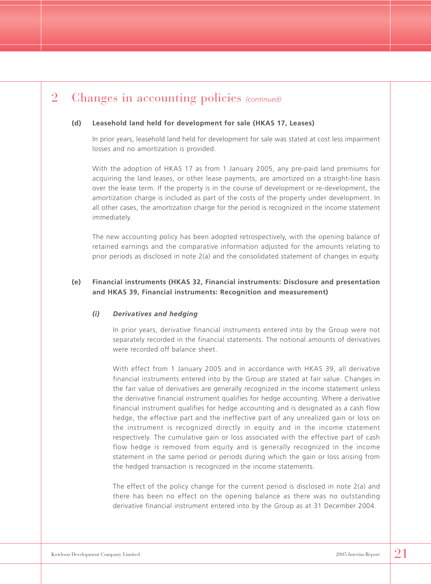#### **(d) Leasehold land held for development for sale (HKAS 17, Leases)**

In prior years, leasehold land held for development for sale was stated at cost less impairment losses and no amortization is provided.

With the adoption of HKAS 17 as from 1 January 2005, any pre-paid land premiums for acquiring the land leases, or other lease payments, are amortized on a straight-line basis over the lease term. If the property is in the course of development or re-development, the amortization charge is included as part of the costs of the property under development. In all other cases, the amortization charge for the period is recognized in the income statement immediately.

The new accounting policy has been adopted retrospectively, with the opening balance of retained earnings and the comparative information adjusted for the amounts relating to prior periods as disclosed in note 2(a) and the consolidated statement of changes in equity.

#### **(e) Financial instruments (HKAS 32, Financial instruments: Disclosure and presentation and HKAS 39, Financial instruments: Recognition and measurement)**

#### *(i) Derivatives and hedging*

In prior years, derivative financial instruments entered into by the Group were not separately recorded in the financial statements. The notional amounts of derivatives were recorded off balance sheet.

With effect from 1 January 2005 and in accordance with HKAS 39, all derivative financial instruments entered into by the Group are stated at fair value. Changes in the fair value of derivatives are generally recognized in the income statement unless the derivative financial instrument qualifies for hedge accounting. Where a derivative financial instrument qualifies for hedge accounting and is designated as a cash flow hedge, the effective part and the ineffective part of any unrealized gain or loss on the instrument is recognized directly in equity and in the income statement respectively. The cumulative gain or loss associated with the effective part of cash flow hedge is removed from equity and is generally recognized in the income statement in the same period or periods during which the gain or loss arising from the hedged transaction is recognized in the income statements.

The effect of the policy change for the current period is disclosed in note 2(a) and there has been no effect on the opening balance as there was no outstanding derivative financial instrument entered into by the Group as at 31 December 2004.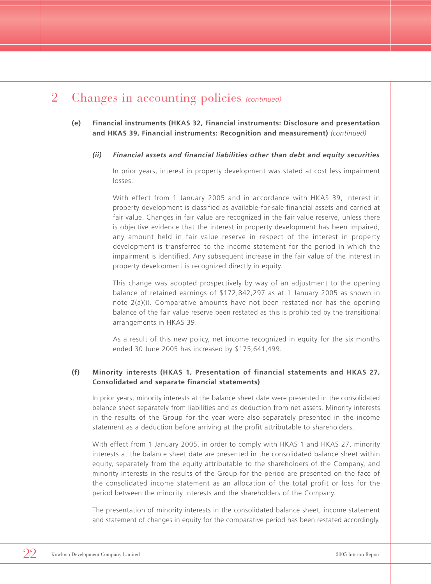#### **(e) Financial instruments (HKAS 32, Financial instruments: Disclosure and presentation and HKAS 39, Financial instruments: Recognition and measurement)** *(continued)*

#### *(ii) Financial assets and financial liabilities other than debt and equity securities*

In prior years, interest in property development was stated at cost less impairment losses.

With effect from 1 January 2005 and in accordance with HKAS 39, interest in property development is classified as available-for-sale financial assets and carried at fair value. Changes in fair value are recognized in the fair value reserve, unless there is objective evidence that the interest in property development has been impaired, any amount held in fair value reserve in respect of the interest in property development is transferred to the income statement for the period in which the impairment is identified. Any subsequent increase in the fair value of the interest in property development is recognized directly in equity.

This change was adopted prospectively by way of an adjustment to the opening balance of retained earnings of \$172,842,297 as at 1 January 2005 as shown in note 2(a)(i). Comparative amounts have not been restated nor has the opening balance of the fair value reserve been restated as this is prohibited by the transitional arrangements in HKAS 39.

As a result of this new policy, net income recognized in equity for the six months ended 30 June 2005 has increased by \$175,641,499.

#### **(f) Minority interests (HKAS 1, Presentation of financial statements and HKAS 27, Consolidated and separate financial statements)**

In prior years, minority interests at the balance sheet date were presented in the consolidated balance sheet separately from liabilities and as deduction from net assets. Minority interests in the results of the Group for the year were also separately presented in the income statement as a deduction before arriving at the profit attributable to shareholders.

With effect from 1 January 2005, in order to comply with HKAS 1 and HKAS 27, minority interests at the balance sheet date are presented in the consolidated balance sheet within equity, separately from the equity attributable to the shareholders of the Company, and minority interests in the results of the Group for the period are presented on the face of the consolidated income statement as an allocation of the total profit or loss for the period between the minority interests and the shareholders of the Company.

The presentation of minority interests in the consolidated balance sheet, income statement and statement of changes in equity for the comparative period has been restated accordingly.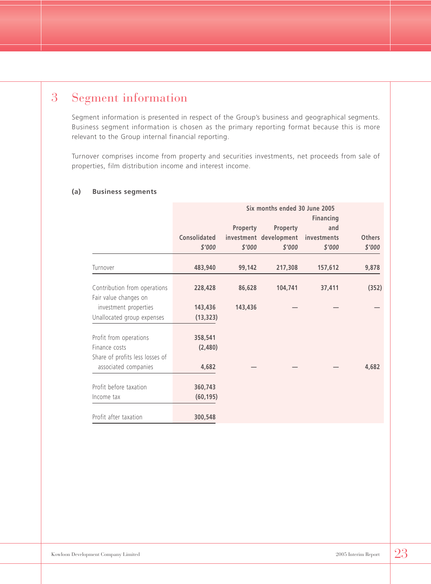### 3 Segment information

Segment information is presented in respect of the Group's business and geographical segments. Business segment information is chosen as the primary reporting format because this is more relevant to the Group internal financial reporting.

Turnover comprises income from property and securities investments, net proceeds from sale of properties, film distribution income and interest income.

|                                 |              |          | Six months ended 30 June 2005 |                  |               |
|---------------------------------|--------------|----------|-------------------------------|------------------|---------------|
|                                 |              |          |                               | <b>Financing</b> |               |
|                                 |              | Property | Property                      | and              |               |
|                                 | Consolidated |          | investment development        | investments      | <b>Others</b> |
|                                 | \$'000       | \$'000   | \$'000                        | \$'000           | \$'000        |
| Turnover                        | 483,940      | 99,142   | 217,308                       | 157,612          | 9,878         |
| Contribution from operations    | 228,428      | 86,628   | 104,741                       | 37,411           | (352)         |
| Fair value changes on           |              |          |                               |                  |               |
| investment properties           | 143,436      | 143,436  |                               |                  |               |
| Unallocated group expenses      | (13, 323)    |          |                               |                  |               |
| Profit from operations          | 358,541      |          |                               |                  |               |
| Finance costs                   | (2,480)      |          |                               |                  |               |
| Share of profits less losses of |              |          |                               |                  |               |
| associated companies            | 4,682        |          |                               |                  | 4,682         |
| Profit before taxation          | 360,743      |          |                               |                  |               |
| Income tax                      | (60, 195)    |          |                               |                  |               |
|                                 |              |          |                               |                  |               |
| Profit after taxation           | 300,548      |          |                               |                  |               |

#### **(a) Business segments**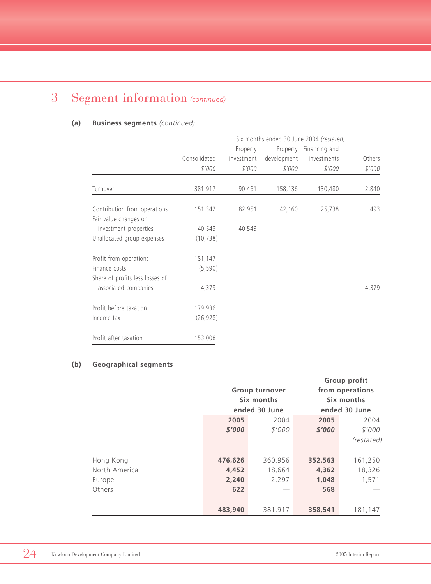### 3 Segment information *(continued)*

#### **(a) Business segments** *(continued)*

|                                 | Six months ended 30 June 2004 (restated) |            |             |                        |        |
|---------------------------------|------------------------------------------|------------|-------------|------------------------|--------|
|                                 |                                          | Property   |             | Property Financing and |        |
|                                 | Consolidated                             | investment | development | investments            | Others |
|                                 | \$'000                                   | \$'000     | \$'000      | \$'000                 | \$'000 |
| Turnover                        | 381,917                                  | 90,461     | 158,136     | 130,480                | 2,840  |
| Contribution from operations    | 151,342                                  | 82,951     | 42,160      | 25,738                 | 493    |
| Fair value changes on           |                                          |            |             |                        |        |
| investment properties           | 40,543                                   | 40,543     |             |                        |        |
| Unallocated group expenses      | (10, 738)                                |            |             |                        |        |
| Profit from operations          | 181,147                                  |            |             |                        |        |
| Finance costs                   | (5, 590)                                 |            |             |                        |        |
| Share of profits less losses of |                                          |            |             |                        |        |
| associated companies            | 4,379                                    |            |             |                        | 4,379  |
| Profit before taxation          | 179,936                                  |            |             |                        |        |
| Income tax                      | (26, 928)                                |            |             |                        |        |
| Profit after taxation           | 153,008                                  |            |             |                        |        |

#### **(b) Geographical segments**

|               |                       |               |         | Group profit    |  |
|---------------|-----------------------|---------------|---------|-----------------|--|
|               | <b>Group turnover</b> |               |         | from operations |  |
|               |                       | Six months    |         | Six months      |  |
|               |                       | ended 30 June |         | ended 30 June   |  |
|               | 2005                  | 2004          | 2005    | 2004            |  |
|               | \$'000                | \$'000        | \$'000  | \$'000          |  |
|               |                       |               |         | (restated)      |  |
|               |                       |               |         |                 |  |
| Hong Kong     | 476,626               | 360,956       | 352,563 | 161,250         |  |
| North America | 4,452                 | 18,664        | 4,362   | 18,326          |  |
| Europe        | 2,240                 | 2,297         | 1,048   | 1,571           |  |
| Others        | 622                   |               | 568     |                 |  |
|               |                       |               |         |                 |  |
|               | 483,940               | 381,917       | 358,541 | 181,147         |  |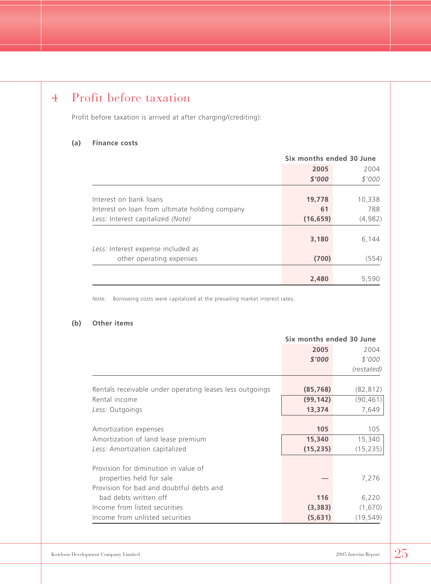### 4 Profit before taxation

Profit before taxation is arrived at after charging/(crediting):

#### **(a) Finance costs**

|                                                | Six months ended 30 June |         |  |
|------------------------------------------------|--------------------------|---------|--|
|                                                | 2005                     | 2004    |  |
|                                                | \$'000                   | \$'000  |  |
|                                                |                          |         |  |
| Interest on bank loans                         | 19,778                   | 10,338  |  |
| Interest on loan from ultimate holding company | 61                       | 788     |  |
| Less: Interest capitalized (Note)              | (16, 659)                | (4,982) |  |
|                                                | 3,180                    | 6,144   |  |
| Less: Interest expense included as             |                          |         |  |
| other operating expenses                       | (700)                    | (554)   |  |
|                                                |                          |         |  |
|                                                | 2,480                    | 5,590   |  |

*Note:* Borrowing costs were capitalized at the prevailing market interest rates.

#### **(b) Other items**

|                                                          | Six months ended 30 June |            |  |
|----------------------------------------------------------|--------------------------|------------|--|
|                                                          | 2005                     | 2004       |  |
|                                                          | \$'000                   | \$'000     |  |
|                                                          |                          | (restated) |  |
| Rentals receivable under operating leases less outgoings | (85, 768)                | (82, 812)  |  |
| Rental income                                            | (99, 142)                | (90, 461)  |  |
| Less: Outgoings                                          | 13,374                   | 7,649      |  |
|                                                          |                          |            |  |
| Amortization expenses                                    | 105                      | 105        |  |
| Amortization of land lease premium                       | 15,340                   | 15,340     |  |
| Less: Amortization capitalized                           | (15, 235)                | (15, 235)  |  |
| Provision for diminution in value of                     |                          |            |  |
| properties held for sale                                 |                          | 7,276      |  |
| Provision for bad and doubtful debts and                 |                          |            |  |
| bad debts written off                                    | 116                      | 6,220      |  |
| Income from listed securities                            | (3,383)                  | (1,670)    |  |
| Income from unlisted securities                          | (5,631)                  | (19, 549)  |  |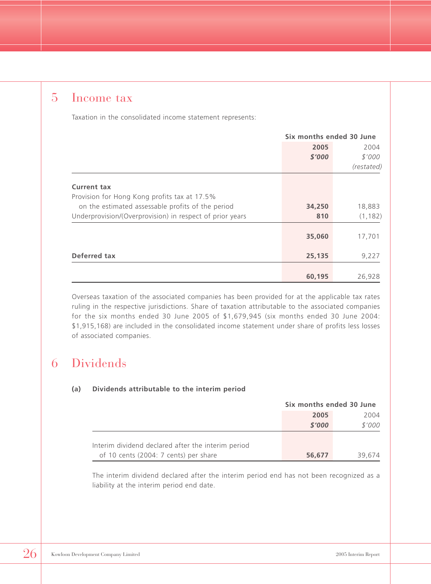### 5 Income tax

Taxation in the consolidated income statement represents:

|                                                          | Six months ended 30 June |            |  |
|----------------------------------------------------------|--------------------------|------------|--|
|                                                          | 2005                     | 2004       |  |
|                                                          | \$'000                   | \$'000     |  |
|                                                          |                          | (restated) |  |
| <b>Current tax</b>                                       |                          |            |  |
| Provision for Hong Kong profits tax at 17.5%             |                          |            |  |
| on the estimated assessable profits of the period        | 34,250                   | 18,883     |  |
| Underprovision/(Overprovision) in respect of prior years | 810                      | (1, 182)   |  |
|                                                          | 35,060                   | 17,701     |  |
| Deferred tax                                             | 25,135                   | 9,227      |  |
|                                                          | 60,195                   | 26,928     |  |

Overseas taxation of the associated companies has been provided for at the applicable tax rates ruling in the respective jurisdictions. Share of taxation attributable to the associated companies for the six months ended 30 June 2005 of \$1,679,945 (six months ended 30 June 2004: \$1,915,168) are included in the consolidated income statement under share of profits less losses of associated companies.

### 6 Dividends

#### **(a) Dividends attributable to the interim period**

|                                                                                             | Six months ended 30 June |        |
|---------------------------------------------------------------------------------------------|--------------------------|--------|
|                                                                                             | 2005                     | 2004   |
|                                                                                             | \$'000                   | \$'000 |
|                                                                                             |                          |        |
| Interim dividend declared after the interim period<br>of 10 cents (2004: 7 cents) per share | 56,677                   | 39.674 |

The interim dividend declared after the interim period end has not been recognized as a liability at the interim period end date.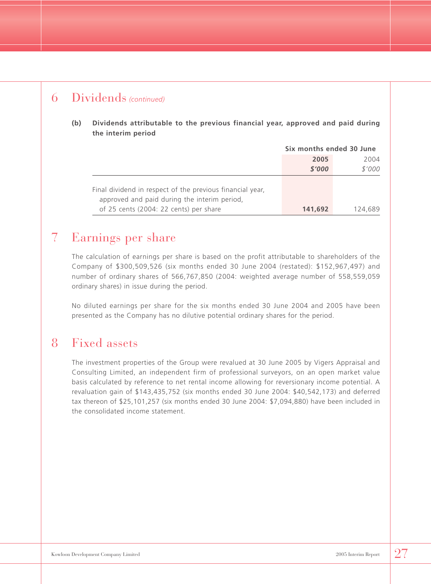### 6 Dividends *(continued)*

**(b) Dividends attributable to the previous financial year, approved and paid during the interim period**

|                                                                                                           | Six months ended 30 June |         |
|-----------------------------------------------------------------------------------------------------------|--------------------------|---------|
|                                                                                                           | 2005                     | 2004    |
|                                                                                                           | \$'000                   | \$'000  |
| Final dividend in respect of the previous financial year,<br>approved and paid during the interim period, |                          |         |
| of 25 cents (2004: 22 cents) per share                                                                    | 141,692                  | 124,689 |

### 7 Earnings per share

The calculation of earnings per share is based on the profit attributable to shareholders of the Company of \$300,509,526 (six months ended 30 June 2004 (restated): \$152,967,497) and number of ordinary shares of 566,767,850 (2004: weighted average number of 558,559,059 ordinary shares) in issue during the period.

No diluted earnings per share for the six months ended 30 June 2004 and 2005 have been presented as the Company has no dilutive potential ordinary shares for the period.

### 8 Fixed assets

The investment properties of the Group were revalued at 30 June 2005 by Vigers Appraisal and Consulting Limited, an independent firm of professional surveyors, on an open market value basis calculated by reference to net rental income allowing for reversionary income potential. A revaluation gain of \$143,435,752 (six months ended 30 June 2004: \$40,542,173) and deferred tax thereon of \$25,101,257 (six months ended 30 June 2004: \$7,094,880) have been included in the consolidated income statement.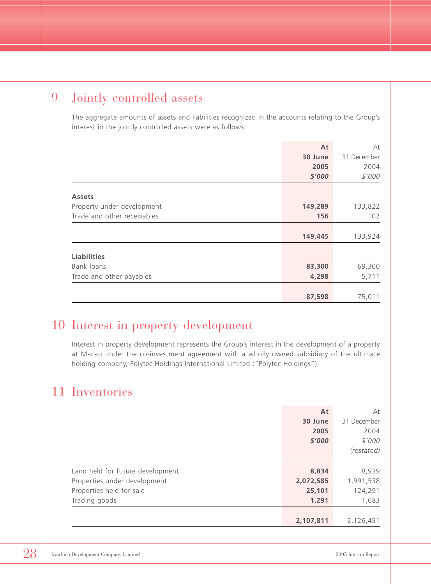### 9 Jointly controlled assets

The aggregate amounts of assets and liabilities recognized in the accounts relating to the Group's interest in the jointly controlled assets were as follows:

|                             | At      | At          |
|-----------------------------|---------|-------------|
|                             | 30 June | 31 December |
|                             | 2005    | 2004        |
|                             | \$'000  | \$'000      |
|                             |         |             |
| <b>Assets</b>               |         |             |
| Property under development  | 149,289 | 133,822     |
| Trade and other receivables | 156     | 102         |
|                             |         |             |
|                             | 149,445 | 133,924     |
|                             |         |             |
| <b>Liabilities</b>          |         |             |
| Bank loans                  | 83,300  | 69,300      |
| Trade and other payables    | 4,298   | 5,711       |
|                             |         |             |
|                             | 87,598  | 75,011      |

### 10 Interest in property development

Interest in property development represents the Group's interest in the development of a property at Macau under the co-investment agreement with a wholly owned subsidiary of the ultimate holding company, Polytec Holdings International Limited ("Polytec Holdings").

### 11 Inventories

|                                  | At        | At          |
|----------------------------------|-----------|-------------|
|                                  | 30 June   | 31 December |
|                                  | 2005      | 2004        |
|                                  | \$'000    | \$'000      |
|                                  |           | (restated)  |
|                                  |           |             |
| Land held for future development | 8,834     | 8,939       |
| Properties under development     | 2,072,585 | 1,991,538   |
| Properties held for sale         | 25,101    | 124,291     |
| Trading goods                    | 1,291     | 1,683       |
|                                  |           |             |
|                                  | 2,107,811 | 2,126,451   |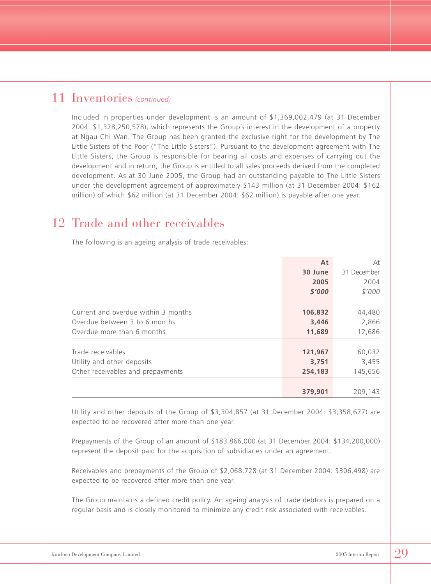#### 11 Inventories *(continued)*

Included in properties under development is an amount of \$1,369,002,479 (at 31 December 2004: \$1,328,250,578), which represents the Group's interest in the development of a property at Ngau Chi Wan. The Group has been granted the exclusive right for the development by The Little Sisters of the Poor ("The Little Sisters"). Pursuant to the development agreement with The Little Sisters, the Group is responsible for bearing all costs and expenses of carrying out the development and in return, the Group is entitled to all sales proceeds derived from the completed development. As at 30 June 2005, the Group had an outstanding payable to The Little Sisters under the development agreement of approximately \$143 million (at 31 December 2004: \$162 million) of which \$62 million (at 31 December 2004: \$62 million) is payable after one year.

### 12 Trade and other receivables

The following is an ageing analysis of trade receivables:

|                                     | At      | At          |
|-------------------------------------|---------|-------------|
|                                     | 30 June | 31 December |
|                                     | 2005    | 2004        |
|                                     | \$'000  | \$'000      |
|                                     |         |             |
| Current and overdue within 3 months | 106,832 | 44,480      |
| Overdue between 3 to 6 months       | 3,446   | 2,866       |
| Overdue more than 6 months          | 11,689  | 12,686      |
|                                     |         |             |
| Trade receivables                   | 121,967 | 60,032      |
| Utility and other deposits          | 3,751   | 3,455       |
| Other receivables and prepayments   | 254,183 | 145,656     |
|                                     |         |             |
|                                     | 379,901 | 209,143     |

Utility and other deposits of the Group of \$3,304,857 (at 31 December 2004: \$3,358,677) are expected to be recovered after more than one year.

Prepayments of the Group of an amount of \$183,866,000 (at 31 December 2004: \$134,200,000) represent the deposit paid for the acquisition of subsidiaries under an agreement.

Receivables and prepayments of the Group of \$2,068,728 (at 31 December 2004: \$306,498) are expected to be recovered after more than one year.

The Group maintains a defined credit policy. An ageing analysis of trade debtors is prepared on a regular basis and is closely monitored to minimize any credit risk associated with receivables.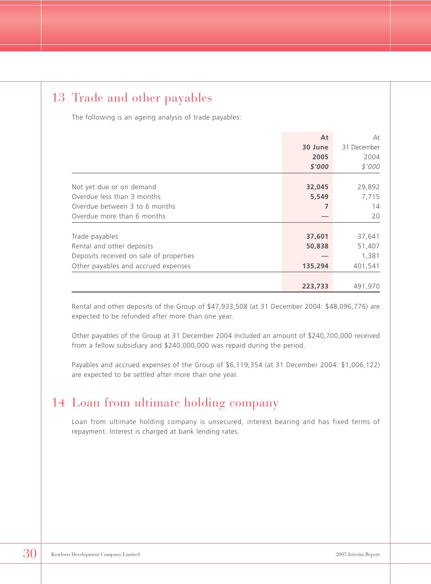### 13 Trade and other payables

The following is an ageing analysis of trade payables:

|                                         | At      | At          |
|-----------------------------------------|---------|-------------|
|                                         | 30 June | 31 December |
|                                         | 2005    | 2004        |
|                                         | \$'000  | \$'000      |
|                                         |         |             |
| Not yet due or on demand                | 32,045  | 29,892      |
| Overdue less than 3 months              | 5,549   | 7,715       |
| Overdue between 3 to 6 months           |         | 14          |
| Overdue more than 6 months              |         | 20          |
|                                         |         |             |
| Trade payables                          | 37,601  | 37,641      |
| Rental and other deposits               | 50,838  | 51,407      |
| Deposits received on sale of properties |         | 1,381       |
| Other payables and accrued expenses     | 135,294 | 401,541     |
|                                         |         |             |
|                                         | 223,733 | 491,970     |

Rental and other deposits of the Group of \$47,933,508 (at 31 December 2004: \$48,096,776) are expected to be refunded after more than one year.

Other payables of the Group at 31 December 2004 included an amount of \$240,700,000 received from a fellow subsidiary and \$240,000,000 was repaid during the period.

Payables and accrued expenses of the Group of \$6,119,354 (at 31 December 2004: \$1,006,122) are expected to be settled after more than one year.

### 14 Loan from ultimate holding company

Loan from ultimate holding company is unsecured, interest bearing and has fixed terms of repayment. Interest is charged at bank lending rates.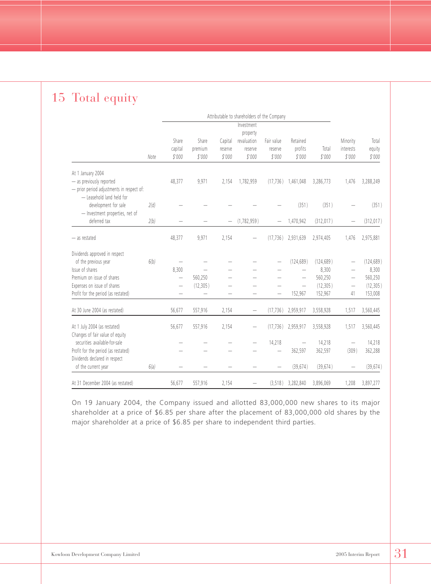### 15 Total equity

|                                                                                            |      | Attributable to shareholders of the Company |                            |                              |                                              |                                 |                               |                 |                                 |                           |
|--------------------------------------------------------------------------------------------|------|---------------------------------------------|----------------------------|------------------------------|----------------------------------------------|---------------------------------|-------------------------------|-----------------|---------------------------------|---------------------------|
|                                                                                            |      |                                             |                            |                              | Investment                                   |                                 |                               |                 |                                 |                           |
|                                                                                            | Note | Share<br>capital<br>\$'000                  | Share<br>premium<br>\$'000 | Capital<br>reserve<br>\$'000 | property<br>revaluation<br>reserve<br>\$'000 | Fair value<br>reserve<br>\$'000 | Retained<br>profits<br>\$'000 | Total<br>\$'000 | Minority<br>interests<br>\$'000 | Total<br>equity<br>\$'000 |
|                                                                                            |      |                                             |                            |                              |                                              |                                 |                               |                 |                                 |                           |
| At 1 January 2004<br>- as previously reported<br>- prior period adjustments in respect of: |      | 48,377                                      | 9,971                      | 2,154                        | 1,782,959                                    | (17, 736)                       | 1,461,048                     | 3,286,773       | 1,476                           | 3,288,249                 |
| - Leasehold land held for<br>development for sale<br>- Investment properties, net of       | 2(d) |                                             |                            |                              |                                              |                                 | (351)                         | (351)           |                                 | (351)                     |
| deferred tax                                                                               | 2(b) |                                             |                            |                              | (1, 782, 959)                                |                                 | 1,470,942                     | (312, 017)      |                                 | (312, 017)                |
| - as restated                                                                              |      | 48,377                                      | 9,971                      | 2,154                        | -                                            | (17, 736)                       | 2,931,639                     | 2,974,405       | 1,476                           | 2,975,881                 |
| Dividends approved in respect                                                              |      |                                             |                            |                              |                                              |                                 |                               |                 |                                 |                           |
| of the previous year                                                                       | 6(b) |                                             |                            |                              |                                              |                                 | (124, 689)                    | (124, 689)      |                                 | (124, 689)                |
| Issue of shares                                                                            |      | 8.300                                       |                            |                              |                                              |                                 |                               | 8,300           |                                 | 8,300                     |
| Premium on issue of shares                                                                 |      | $\overline{\phantom{0}}$                    | 560,250                    |                              |                                              |                                 |                               | 560,250         |                                 | 560,250                   |
| Expenses on issue of shares                                                                |      | $\overline{\phantom{0}}$                    | (12, 305)                  |                              |                                              |                                 | $\overline{\phantom{0}}$      | (12, 305)       | $\overline{\phantom{m}}$        | (12, 305)                 |
| Profit for the period (as restated)                                                        |      | $\overline{\phantom{0}}$                    | $\overline{\phantom{0}}$   | $\overline{\phantom{0}}$     | $\overline{\phantom{0}}$                     | $\overline{\phantom{0}}$        | 152,967                       | 152,967         | 41                              | 153,008                   |
| At 30 June 2004 (as restated)                                                              |      | 56,677                                      | 557,916                    | 2,154                        | $\overline{\phantom{0}}$                     | (17, 736)                       | 2,959,917                     | 3,558,928       | 1,517                           | 3,560,445                 |
| At 1 July 2004 (as restated)<br>Changes of fair value of equity                            |      | 56,677                                      | 557,916                    | 2.154                        | —                                            | (17, 736)                       | 2,959,917                     | 3,558,928       | 1,517                           | 3,560,445                 |
| securities available-for-sale                                                              |      |                                             |                            |                              |                                              | 14,218                          |                               | 14,218          |                                 | 14,218                    |
| Profit for the period (as restated)                                                        |      |                                             |                            |                              |                                              | -                               | 362,597                       | 362,597         | (309)                           | 362,288                   |
| Dividends declared in respect                                                              |      |                                             |                            |                              |                                              |                                 |                               |                 |                                 |                           |
| of the current year                                                                        | 6(a) |                                             |                            |                              |                                              |                                 | (39, 674)                     | (39, 674)       |                                 | (39, 674)                 |
| At 31 December 2004 (as restated)                                                          |      | 56,677                                      | 557,916                    | 2,154                        |                                              | (3, 518)                        | 3,282,840                     | 3,896,069       | 1,208                           | 3,897,277                 |

On 19 January 2004, the Company issued and allotted 83,000,000 new shares to its major shareholder at a price of \$6.85 per share after the placement of 83,000,000 old shares by the major shareholder at a price of \$6.85 per share to independent third parties.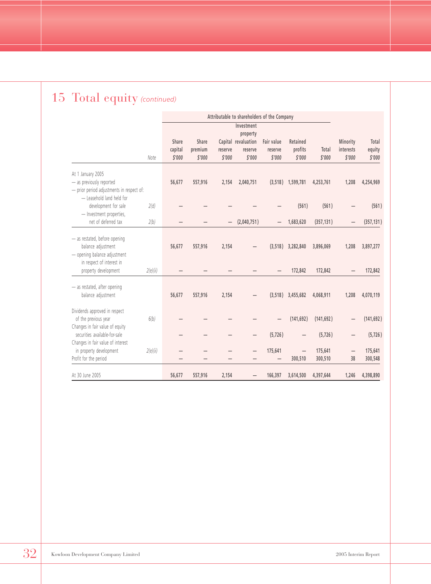## 15 Total equity *(continued)*

|                                                                                                                  |          | Attributable to shareholders of the Company |                   |                   |                                               |                                     |                     |                    |                     |                    |
|------------------------------------------------------------------------------------------------------------------|----------|---------------------------------------------|-------------------|-------------------|-----------------------------------------------|-------------------------------------|---------------------|--------------------|---------------------|--------------------|
|                                                                                                                  |          | Share                                       | Share             |                   | Investment<br>property<br>Capital revaluation | Fair value                          | Retained            |                    | Minority            | Total              |
|                                                                                                                  | Note     | capital<br>\$'000                           | premium<br>\$'000 | reserve<br>\$'000 | reserve<br>\$'000                             | reserve<br>\$'000                   | profits<br>\$'000   | Total<br>\$'000    | interests<br>\$'000 | equity<br>\$'000   |
| At 1 January 2005<br>- as previously reported<br>- prior period adjustments in respect of:                       |          | 56,677                                      | 557,916           | 2,154             | 2,040,751                                     |                                     | $(3,518)$ 1,599,781 | 4,253,761          | 1,208               | 4,254,969          |
| - Leasehold land held for<br>development for sale<br>- Investment properties,                                    | 2(d)     |                                             |                   |                   |                                               |                                     | (561)               | (561)              |                     | (561)              |
| net of deferred tax                                                                                              | 2(b)     |                                             |                   |                   | (2,040,751)                                   |                                     | 1,683,620           | (357, 131)         |                     | (357, 131)         |
| - as restated, before opening<br>balance adjustment<br>- opening balance adjustment<br>in respect of interest in |          | 56,677                                      | 557,916           | 2,154             |                                               | (3,518)                             | 3,282,840           | 3,896,069          | 1,208               | 3,897,277          |
| property development                                                                                             | 2(e)(ii) |                                             |                   |                   |                                               |                                     | 172,842             | 172,842            |                     | 172,842            |
| - as restated, after opening<br>balance adjustment                                                               |          | 56,677                                      | 557,916           | 2.154             |                                               | (3.518)                             | 3,455,682           | 4,068,911          | 1,208               | 4,070,119          |
| Dividends approved in respect<br>of the previous year<br>Changes in fair value of equity                         | 6(b)     |                                             |                   |                   |                                               |                                     | (141, 692)          | (141, 692)         |                     | (141, 692)         |
| securities available-for-sale                                                                                    |          |                                             |                   |                   |                                               | (5, 726)                            |                     | (5, 726)           |                     | (5, 726)           |
| Changes in fair value of interest<br>in property development<br>Profit for the period                            | 2(e)(ii) |                                             |                   |                   |                                               | 175,641<br>$\overline{\phantom{0}}$ | 300,510             | 175,641<br>300,510 | —<br>38             | 175,641<br>300,548 |
| At 30 June 2005                                                                                                  |          | 56,677                                      | 557,916           | 2,154             |                                               | 166,397                             | 3,614,500           | 4,397,644          | 1,246               | 4,398,890          |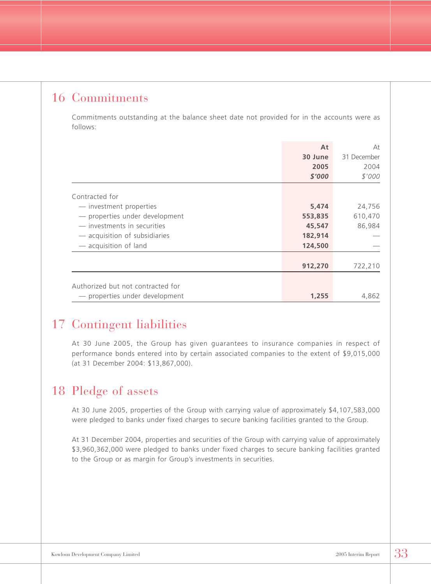### 16 Commitments

Commitments outstanding at the balance sheet date not provided for in the accounts were as follows:

|                                                              | At<br>30 June<br>2005<br>\$'000 | At<br>31 December<br>2004<br>\$'000 |
|--------------------------------------------------------------|---------------------------------|-------------------------------------|
| Contracted for                                               |                                 |                                     |
| - investment properties<br>- properties under development    | 5,474<br>553,835                | 24,756<br>610,470                   |
| - investments in securities<br>- acquisition of subsidiaries | 45,547<br>182,914               | 86,984                              |
| - acquisition of land                                        | 124,500                         |                                     |
|                                                              | 912,270                         | 722,210                             |
| Authorized but not contracted for                            |                                 |                                     |
| - properties under development                               | 1,255                           | 4,862                               |

### 17 Contingent liabilities

At 30 June 2005, the Group has given guarantees to insurance companies in respect of performance bonds entered into by certain associated companies to the extent of \$9,015,000 (at 31 December 2004: \$13,867,000).

### 18 Pledge of assets

At 30 June 2005, properties of the Group with carrying value of approximately \$4,107,583,000 were pledged to banks under fixed charges to secure banking facilities granted to the Group.

At 31 December 2004, properties and securities of the Group with carrying value of approximately \$3,960,362,000 were pledged to banks under fixed charges to secure banking facilities granted to the Group or as margin for Group's investments in securities.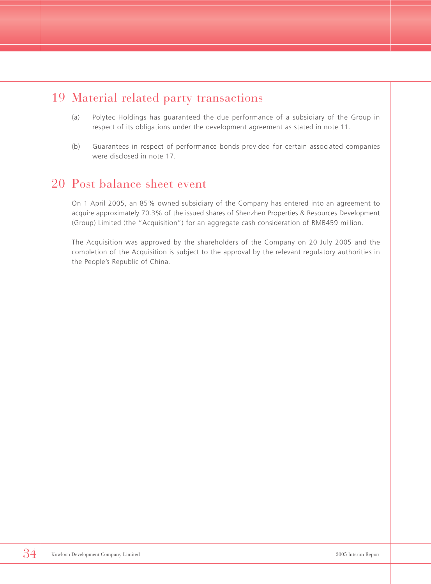### 19 Material related party transactions

- (a) Polytec Holdings has guaranteed the due performance of a subsidiary of the Group in respect of its obligations under the development agreement as stated in note 11.
- (b) Guarantees in respect of performance bonds provided for certain associated companies were disclosed in note 17.

### 20 Post balance sheet event

On 1 April 2005, an 85% owned subsidiary of the Company has entered into an agreement to acquire approximately 70.3% of the issued shares of Shenzhen Properties & Resources Development (Group) Limited (the "Acquisition") for an aggregate cash consideration of RMB459 million.

The Acquisition was approved by the shareholders of the Company on 20 July 2005 and the completion of the Acquisition is subject to the approval by the relevant regulatory authorities in the People's Republic of China.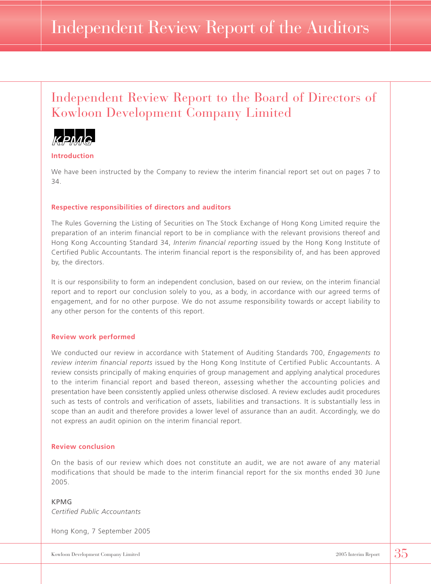# Independent Review Report of the Auditors

### Independent Review Report to the Board of Directors of Kowloon Development Company Limited



**Introduction**

We have been instructed by the Company to review the interim financial report set out on pages 7 to 34.

#### **Respective responsibilities of directors and auditors**

The Rules Governing the Listing of Securities on The Stock Exchange of Hong Kong Limited require the preparation of an interim financial report to be in compliance with the relevant provisions thereof and Hong Kong Accounting Standard 34, *Interim financial reporting* issued by the Hong Kong Institute of Certified Public Accountants. The interim financial report is the responsibility of, and has been approved by, the directors.

It is our responsibility to form an independent conclusion, based on our review, on the interim financial report and to report our conclusion solely to you, as a body, in accordance with our agreed terms of engagement, and for no other purpose. We do not assume responsibility towards or accept liability to any other person for the contents of this report.

#### **Review work performed**

We conducted our review in accordance with Statement of Auditing Standards 700, *Engagements to review interim financial reports* issued by the Hong Kong Institute of Certified Public Accountants. A review consists principally of making enquiries of group management and applying analytical procedures to the interim financial report and based thereon, assessing whether the accounting policies and presentation have been consistently applied unless otherwise disclosed. A review excludes audit procedures such as tests of controls and verification of assets, liabilities and transactions. It is substantially less in scope than an audit and therefore provides a lower level of assurance than an audit. Accordingly, we do not express an audit opinion on the interim financial report.

#### **Review conclusion**

On the basis of our review which does not constitute an audit, we are not aware of any material modifications that should be made to the interim financial report for the six months ended 30 June 2005.

#### KPMG *Certified Public Accountants*

Hong Kong, 7 September 2005

Kowloon Development Company Limited 2005 Interim Report 35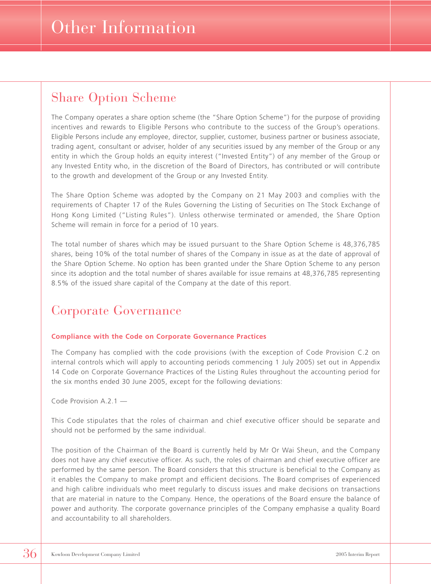### Share Option Scheme

The Company operates a share option scheme (the "Share Option Scheme") for the purpose of providing incentives and rewards to Eligible Persons who contribute to the success of the Group's operations. Eligible Persons include any employee, director, supplier, customer, business partner or business associate, trading agent, consultant or adviser, holder of any securities issued by any member of the Group or any entity in which the Group holds an equity interest ("Invested Entity") of any member of the Group or any Invested Entity who, in the discretion of the Board of Directors, has contributed or will contribute to the growth and development of the Group or any Invested Entity.

The Share Option Scheme was adopted by the Company on 21 May 2003 and complies with the requirements of Chapter 17 of the Rules Governing the Listing of Securities on The Stock Exchange of Hong Kong Limited ("Listing Rules"). Unless otherwise terminated or amended, the Share Option Scheme will remain in force for a period of 10 years.

The total number of shares which may be issued pursuant to the Share Option Scheme is 48,376,785 shares, being 10% of the total number of shares of the Company in issue as at the date of approval of the Share Option Scheme. No option has been granted under the Share Option Scheme to any person since its adoption and the total number of shares available for issue remains at 48,376,785 representing 8.5% of the issued share capital of the Company at the date of this report.

### Corporate Governance

#### **Compliance with the Code on Corporate Governance Practices**

The Company has complied with the code provisions (with the exception of Code Provision C.2 on internal controls which will apply to accounting periods commencing 1 July 2005) set out in Appendix 14 Code on Corporate Governance Practices of the Listing Rules throughout the accounting period for the six months ended 30 June 2005, except for the following deviations:

Code Provision A.2.1 —

This Code stipulates that the roles of chairman and chief executive officer should be separate and should not be performed by the same individual.

The position of the Chairman of the Board is currently held by Mr Or Wai Sheun, and the Company does not have any chief executive officer. As such, the roles of chairman and chief executive officer are performed by the same person. The Board considers that this structure is beneficial to the Company as it enables the Company to make prompt and efficient decisions. The Board comprises of experienced and high calibre individuals who meet regularly to discuss issues and make decisions on transactions that are material in nature to the Company. Hence, the operations of the Board ensure the balance of power and authority. The corporate governance principles of the Company emphasise a quality Board and accountability to all shareholders.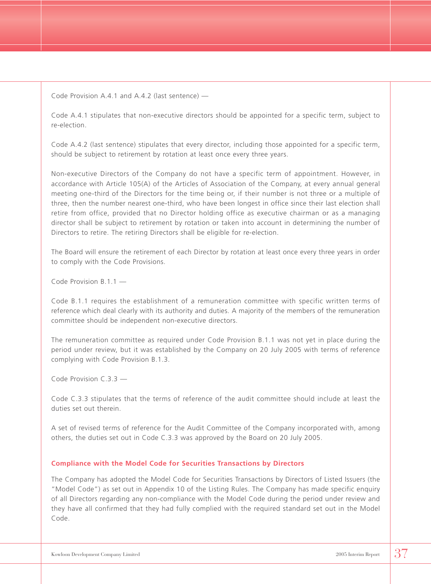Code Provision A.4.1 and A.4.2 (last sentence) —

Code A.4.1 stipulates that non-executive directors should be appointed for a specific term, subject to re-election.

Code A.4.2 (last sentence) stipulates that every director, including those appointed for a specific term, should be subject to retirement by rotation at least once every three years.

Non-executive Directors of the Company do not have a specific term of appointment. However, in accordance with Article 105(A) of the Articles of Association of the Company, at every annual general meeting one-third of the Directors for the time being or, if their number is not three or a multiple of three, then the number nearest one-third, who have been longest in office since their last election shall retire from office, provided that no Director holding office as executive chairman or as a managing director shall be subject to retirement by rotation or taken into account in determining the number of Directors to retire. The retiring Directors shall be eligible for re-election.

The Board will ensure the retirement of each Director by rotation at least once every three years in order to comply with the Code Provisions.

Code Provision B.1.1 —

Code B.1.1 requires the establishment of a remuneration committee with specific written terms of reference which deal clearly with its authority and duties. A majority of the members of the remuneration committee should be independent non-executive directors.

The remuneration committee as required under Code Provision B.1.1 was not yet in place during the period under review, but it was established by the Company on 20 July 2005 with terms of reference complying with Code Provision B.1.3.

Code Provision C.3.3 —

Code C.3.3 stipulates that the terms of reference of the audit committee should include at least the duties set out therein.

A set of revised terms of reference for the Audit Committee of the Company incorporated with, among others, the duties set out in Code C.3.3 was approved by the Board on 20 July 2005.

#### **Compliance with the Model Code for Securities Transactions by Directors**

The Company has adopted the Model Code for Securities Transactions by Directors of Listed Issuers (the "Model Code") as set out in Appendix 10 of the Listing Rules. The Company has made specific enquiry of all Directors regarding any non-compliance with the Model Code during the period under review and they have all confirmed that they had fully complied with the required standard set out in the Model Code.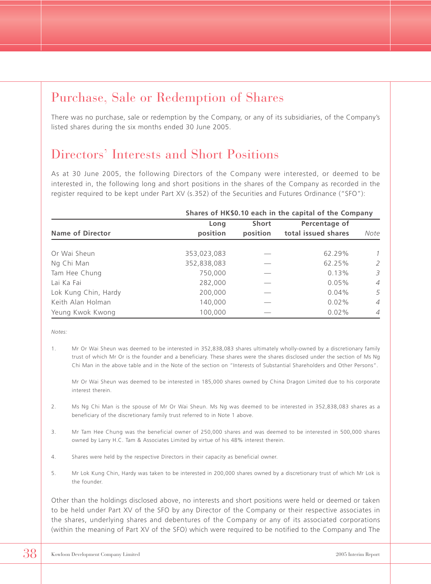### Purchase, Sale or Redemption of Shares

There was no purchase, sale or redemption by the Company, or any of its subsidiaries, of the Company's listed shares during the six months ended 30 June 2005.

### Directors' Interests and Short Positions

As at 30 June 2005, the following Directors of the Company were interested, or deemed to be interested in, the following long and short positions in the shares of the Company as recorded in the register required to be kept under Part XV (s.352) of the Securities and Futures Ordinance ("SFO"):

|                         | Shares of HK\$0.10 each in the capital of the Company |              |                     |                |  |  |  |
|-------------------------|-------------------------------------------------------|--------------|---------------------|----------------|--|--|--|
|                         | Long                                                  | <b>Short</b> | Percentage of       |                |  |  |  |
| <b>Name of Director</b> | position                                              | position     | total issued shares | Note           |  |  |  |
|                         |                                                       |              |                     |                |  |  |  |
| Or Wai Sheun            | 353,023,083                                           |              | 62.29%              | $\mathcal{I}$  |  |  |  |
| Ng Chi Man              | 352,838,083                                           |              | 62.25%              | 2              |  |  |  |
| Tam Hee Chung           | 750,000                                               |              | $0.13\%$            | 3              |  |  |  |
| Lai Ka Fai              | 282,000                                               |              | $0.05\%$            | $\overline{A}$ |  |  |  |
| Lok Kung Chin, Hardy    | 200,000                                               |              | $0.04\%$            | 5              |  |  |  |
| Keith Alan Holman       | 140,000                                               |              | $0.02\%$            | $\overline{4}$ |  |  |  |
| Yeung Kwok Kwong        | 100,000                                               |              | 0.02%               | $\overline{A}$ |  |  |  |

*Notes:*

1. Mr Or Wai Sheun was deemed to be interested in 352,838,083 shares ultimately wholly-owned by a discretionary family trust of which Mr Or is the founder and a beneficiary. These shares were the shares disclosed under the section of Ms Ng Chi Man in the above table and in the Note of the section on "Interests of Substantial Shareholders and Other Persons".

Mr Or Wai Sheun was deemed to be interested in 185,000 shares owned by China Dragon Limited due to his corporate interest therein.

- 2. Ms Ng Chi Man is the spouse of Mr Or Wai Sheun. Ms Ng was deemed to be interested in 352,838,083 shares as a beneficiary of the discretionary family trust referred to in Note 1 above.
- 3. Mr Tam Hee Chung was the beneficial owner of 250,000 shares and was deemed to be interested in 500,000 shares owned by Larry H.C. Tam & Associates Limited by virtue of his 48% interest therein.
- 4. Shares were held by the respective Directors in their capacity as beneficial owner.
- 5. Mr Lok Kung Chin, Hardy was taken to be interested in 200,000 shares owned by a discretionary trust of which Mr Lok is the founder.

Other than the holdings disclosed above, no interests and short positions were held or deemed or taken to be held under Part XV of the SFO by any Director of the Company or their respective associates in the shares, underlying shares and debentures of the Company or any of its associated corporations (within the meaning of Part XV of the SFO) which were required to be notified to the Company and The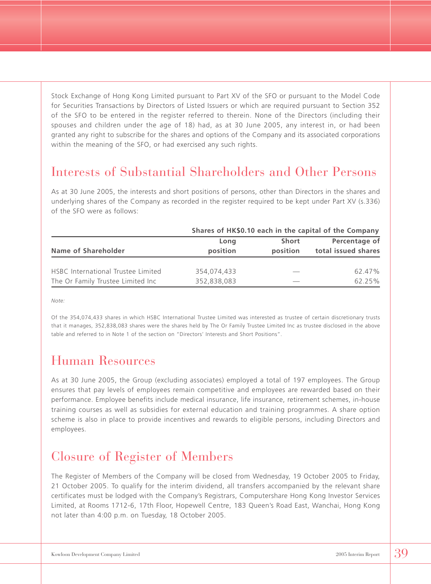Stock Exchange of Hong Kong Limited pursuant to Part XV of the SFO or pursuant to the Model Code for Securities Transactions by Directors of Listed Issuers or which are required pursuant to Section 352 of the SFO to be entered in the register referred to therein. None of the Directors (including their spouses and children under the age of 18) had, as at 30 June 2005, any interest in, or had been granted any right to subscribe for the shares and options of the Company and its associated corporations within the meaning of the SFO, or had exercised any such rights.

### Interests of Substantial Shareholders and Other Persons

As at 30 June 2005, the interests and short positions of persons, other than Directors in the shares and underlying shares of the Company as recorded in the register required to be kept under Part XV (s.336) of the SFO were as follows:

|                                    | Shares of HK\$0.10 each in the capital of the Company |          |                     |  |  |  |
|------------------------------------|-------------------------------------------------------|----------|---------------------|--|--|--|
|                                    | Long                                                  | Short    | Percentage of       |  |  |  |
| Name of Shareholder                | position                                              | position | total issued shares |  |  |  |
| HSBC International Trustee Limited | 354.074.433                                           |          | 62.47%              |  |  |  |
| The Or Family Trustee Limited Inc  | 352,838,083                                           |          | 62.25%              |  |  |  |

*Note:*

Of the 354,074,433 shares in which HSBC International Trustee Limited was interested as trustee of certain discretionary trusts that it manages, 352,838,083 shares were the shares held by The Or Family Trustee Limited Inc as trustee disclosed in the above table and referred to in Note 1 of the section on "Directors' Interests and Short Positions".

### Human Resources

As at 30 June 2005, the Group (excluding associates) employed a total of 197 employees. The Group ensures that pay levels of employees remain competitive and employees are rewarded based on their performance. Employee benefits include medical insurance, life insurance, retirement schemes, in-house training courses as well as subsidies for external education and training programmes. A share option scheme is also in place to provide incentives and rewards to eligible persons, including Directors and employees.

### Closure of Register of Members

The Register of Members of the Company will be closed from Wednesday, 19 October 2005 to Friday, 21 October 2005. To qualify for the interim dividend, all transfers accompanied by the relevant share certificates must be lodged with the Company's Registrars, Computershare Hong Kong Investor Services Limited, at Rooms 1712-6, 17th Floor, Hopewell Centre, 183 Queen's Road East, Wanchai, Hong Kong not later than 4:00 p.m. on Tuesday, 18 October 2005.